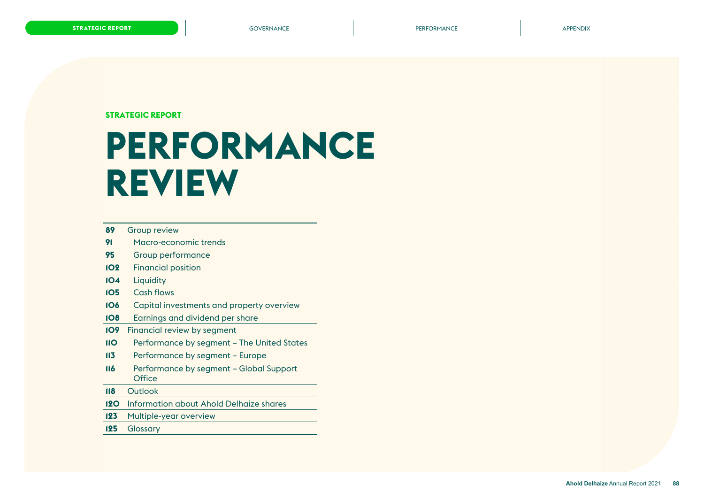**STRATEGIC REPORT**

# **PERFORMANCE REVIEW**

- [Group review](#page-1-0)
- [Macro-economic trends](#page-3-0)
- [Group performance](#page-7-0)
- [Financial position](#page-14-0)
- [Liquidity](#page-16-0)
- [Cash flows](#page-17-0)
- [Capital investments and property overview](#page-18-0)
- [Earnings and dividend per share](#page-20-0)
- [Financial review by segment](#page-21-0)
- [Performance by segment The United States](#page-22-0)
- [Performance by segment Europe](#page-25-0)
- [Performance by segment Global Support](#page-28-0)  **[Office](#page-28-0)**
- [Outlook](#page-30-0)
- [Information about Ahold Delhaize shares](#page-32-0)
- [Multiple-year overview](#page-35-0)
- [Glossary](#page-37-0)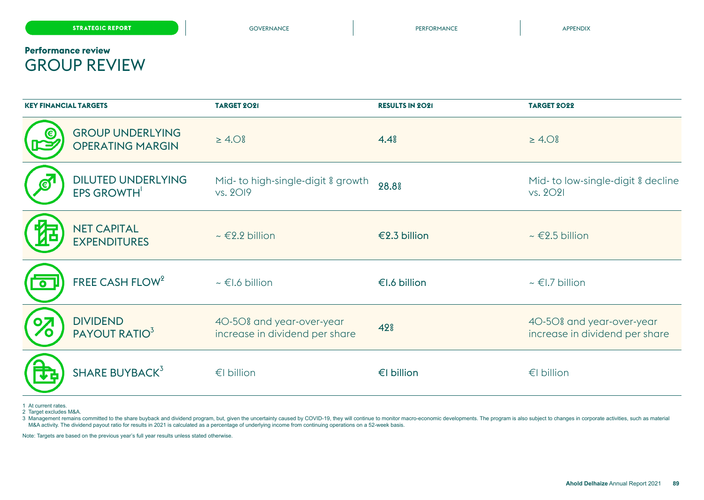# <span id="page-1-0"></span>**Performance review** GROUP REVIEW

| <b>KEY FINANCIAL TARGETS</b> |                                                    | <b>TARGET 2021</b>                                          | <b>RESULTS IN 2021</b> | <b>TARGET 2022</b>                                          |
|------------------------------|----------------------------------------------------|-------------------------------------------------------------|------------------------|-------------------------------------------------------------|
|                              | <b>GROUP UNDERLYING</b><br><b>OPERATING MARGIN</b> | $\geq 4.0$ $\approx$                                        | 4.4 <sup>°</sup>       | $\geq 4.0$ $\approx$                                        |
|                              | <b>DILUTED UNDERLYING</b><br>EPS GROWTH            | Mid- to high-single-digit & growth<br>vs. 2019              | 28.8%                  | Mid- to low-single-digit & decline<br>vs. 2021              |
|                              | <b>NET CAPITAL</b><br><b>EXPENDITURES</b>          | $\sim \in 2.2$ billion                                      | €2.3 billion           | $\sim \epsilon$ 2.5 billion                                 |
| $\bullet$                    | FREE CASH FLOW <sup>2</sup>                        | $\sim$ €1.6 billion                                         | €I.6 billion           | $\sim \in$ I.7 billion                                      |
|                              | <b>DIVIDEND</b><br>PAYOUT RATIO <sup>3</sup>       | 40-50% and year-over-year<br>increase in dividend per share | 42 <sup>°</sup>        | 40-50% and year-over-year<br>increase in dividend per share |
|                              | SHARE BUYBACK <sup>3</sup>                         | €I billion                                                  | €I billion             | €I billion                                                  |

1 At current rates.

2 Target excludes M&A.

3 Management remains committed to the share buyback and dividend program, but, given the uncertainty caused by COVID-19, they will continue to monitor macro-economic developments. The program is also subject to changes in M&A activity. The dividend payout ratio for results in 2021 is calculated as a percentage of underlying income from continuing operations on a 52-week basis.

Note: Targets are based on the previous year's full year results unless stated otherwise.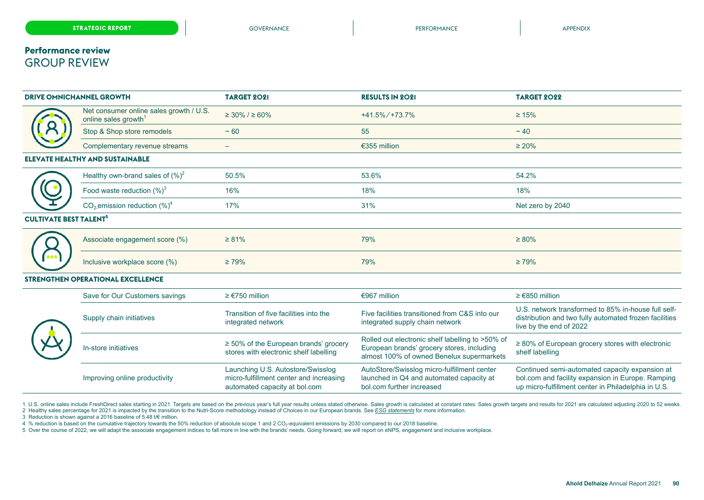### **Performance review** GROUP REVIEW

| <b>DRIVE OMNICHANNEL GROWTH</b>          |                                                                             | <b>TARGET 2021</b>                                                                                            | <b>RESULTS IN 2021</b>                                                                                                                      | <b>TARGET 2022</b>                                                                                                                                         |
|------------------------------------------|-----------------------------------------------------------------------------|---------------------------------------------------------------------------------------------------------------|---------------------------------------------------------------------------------------------------------------------------------------------|------------------------------------------------------------------------------------------------------------------------------------------------------------|
|                                          | Net consumer online sales growth / U.S.<br>online sales growth <sup>1</sup> | $\geq 30\%$ / $\geq 60\%$                                                                                     | $+41.5\% / +73.7\%$                                                                                                                         | $\geq 15\%$                                                                                                                                                |
|                                          | Stop & Shop store remodels                                                  | ~100                                                                                                          | 55                                                                                                                                          | $~1$ 40                                                                                                                                                    |
|                                          | Complementary revenue streams                                               |                                                                                                               | €355 million                                                                                                                                | $\geq 20\%$                                                                                                                                                |
|                                          | <b>ELEVATE HEALTHY AND SUSTAINABLE</b>                                      |                                                                                                               |                                                                                                                                             |                                                                                                                                                            |
|                                          | Healthy own-brand sales of $(\%)^2$                                         | 50.5%                                                                                                         | 53.6%                                                                                                                                       | 54.2%                                                                                                                                                      |
|                                          | Food waste reduction $(\%)^3$                                               | 16%                                                                                                           | 18%                                                                                                                                         | 18%                                                                                                                                                        |
|                                          | $CO2$ emission reduction $(\%)4$                                            | 17%                                                                                                           | 31%                                                                                                                                         | Net zero by 2040                                                                                                                                           |
| <b>CULTIVATE BEST TALENT<sup>5</sup></b> |                                                                             |                                                                                                               |                                                                                                                                             |                                                                                                                                                            |
|                                          | Associate engagement score (%)                                              | $\geq 81\%$                                                                                                   | 79%                                                                                                                                         | $\geq 80\%$                                                                                                                                                |
|                                          | Inclusive workplace score (%)                                               | $\geq 79\%$                                                                                                   | 79%                                                                                                                                         | $\geq 79\%$                                                                                                                                                |
|                                          | STRENGTHEN OPERATIONAL EXCELLENCE                                           |                                                                                                               |                                                                                                                                             |                                                                                                                                                            |
|                                          | Save for Our Customers savings                                              | $≥ €750$ million                                                                                              | €967 million                                                                                                                                | $≥ €850$ million                                                                                                                                           |
|                                          | Supply chain initiatives                                                    | Transition of five facilities into the<br>integrated network                                                  | Five facilities transitioned from C&S into our<br>integrated supply chain network                                                           | U.S. network transformed to 85% in-house full self-<br>distribution and two fully automated frozen facilities<br>live by the end of 2022                   |
|                                          | In-store initiatives                                                        | $\geq$ 50% of the European brands' grocery<br>stores with electronic shelf labelling                          | Rolled out electronic shelf labelling to >50% of<br>European brands' grocery stores, including<br>almost 100% of owned Benelux supermarkets | $\geq$ 80% of European grocery stores with electronic<br>shelf labelling                                                                                   |
|                                          | Improving online productivity                                               | Launching U.S. Autostore/Swisslog<br>micro-fulfillment center and increasing<br>automated capacity at bol.com | AutoStore/Swisslog micro-fulfillment center<br>launched in Q4 and automated capacity at<br>bol.com further increased                        | Continued semi-automated capacity expansion at<br>bol.com and facility expansion in Europe. Ramping<br>up micro-fulfillment center in Philadelphia in U.S. |

1 U.S. online sales include FreshDirect sales starting in 2021. Targets are based on the previous year's full year results unless stated otherwise. Sales growth is calculated at constant rates. Sales growth targets and res

2 Healthy sales percentage for 2021 is impacted by the transition to the Nutri-Score methodology instead of Choices in our European brands. See *ESG statements* for more information.

3 Reduction is shown against a 2016 baseline of 5.48 t/€ million.

4 % reduction is based on the cumulative trajectory towards the 50% reduction of absolute scope 1 and 2 CO<sub>2</sub>-equivalent emissions by 2030 compared to our 2018 baseline.

5 Over the course of 2022, we will adapt the associate engagement indices to fall more in line with the brands' needs. Going forward, we will report on eNPS, engagement and inclusive workplace.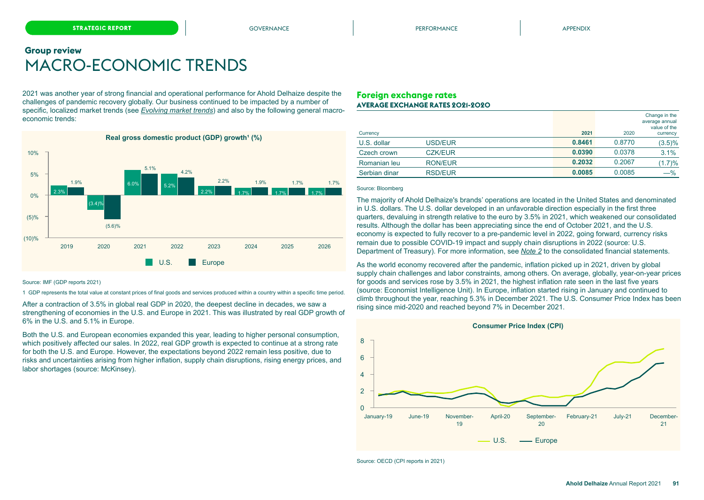## <span id="page-3-0"></span>**Group review** MACRO-ECONOMIC TRENDS

2021 was another year of strong financial and operational performance for Ahold Delhaize despite the challenges of pandemic recovery globally. Our business continued to be impacted by a number of specific, localized market trends (see *Evolving market trends*) and also by the following general macroeconomic trends:



#### **Foreign exchange rates AVERAGE EXCHANGE RATES 2021-2020**

|               |                |        |        | Change in the<br>average annual<br>value of the |
|---------------|----------------|--------|--------|-------------------------------------------------|
| Currency      |                | 2021   | 2020   | currency                                        |
| U.S. dollar   | USD/EUR        | 0.8461 | 0.8770 | $(3.5)\%$                                       |
| Czech crown   | <b>CZK/EUR</b> | 0.0390 | 0.0378 | 3.1%                                            |
| Romanian leu  | <b>RON/EUR</b> | 0.2032 | 0.2067 | (1.7)%                                          |
| Serbian dinar | <b>RSD/EUR</b> | 0.0085 | 0.0085 | $-\%$                                           |

#### Source: Bloomberg

The majority of Ahold Delhaize's brands' operations are located in the United States and denominated in U.S. dollars. The U.S. dollar developed in an unfavorable direction especially in the first three quarters, devaluing in strength relative to the euro by 3.5% in 2021, which weakened our consolidated results. Although the dollar has been appreciating since the end of October 2021, and the U.S. economy is expected to fully recover to a pre-pandemic level in 2022, going forward, currency risks remain due to possible COVID-19 impact and supply chain disruptions in 2022 (source: U.S. Department of Treasury). For more information, see *Note 2* to the consolidated financial statements.

As the world economy recovered after the pandemic, inflation picked up in 2021, driven by global supply chain challenges and labor constraints, among others. On average, globally, year-on-year prices for goods and services rose by 3.5% in 2021, the highest inflation rate seen in the last five years (source: Economist Intelligence Unit). In Europe, inflation started rising in January and continued to climb throughout the year, reaching 5.3% in December 2021. The U.S. Consumer Price Index has been rising since mid-2020 and reached beyond 7% in December 2021.



Source: IMF (GDP reports 2021)

1 GDP represents the total value at constant prices of final goods and services produced within a country within a specific time period.

After a contraction of 3.5% in global real GDP in 2020, the deepest decline in decades, we saw a strengthening of economies in the U.S. and Europe in 2021. This was illustrated by real GDP growth of 6% in the U.S. and 5.1% in Europe.

Both the U.S. and European economies expanded this year, leading to higher personal consumption, which positively affected our sales. In 2022, real GDP growth is expected to continue at a strong rate for both the U.S. and Europe. However, the expectations beyond 2022 remain less positive, due to risks and uncertainties arising from higher inflation, supply chain disruptions, rising energy prices, and labor shortages (source: McKinsey).

Source: OECD (CPI reports in 2021)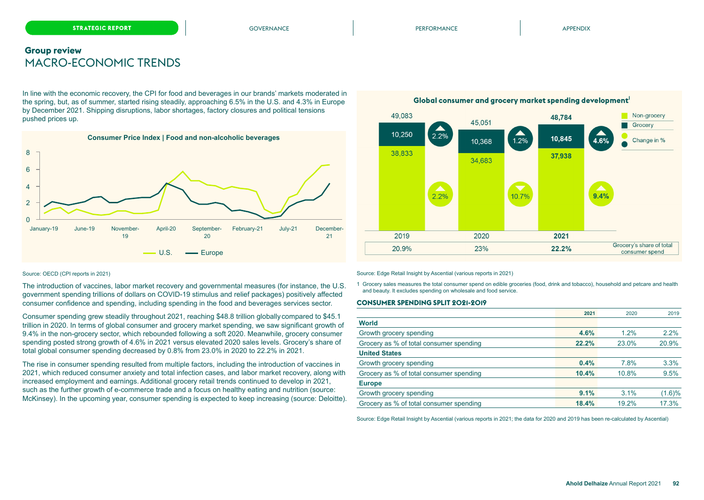### **Group review** MACRO-ECONOMIC TRENDS

In line with the economic recovery, the CPI for food and beverages in our brands' markets moderated in the spring, but, as of summer, started rising steadily, approaching 6.5% in the U.S. and 4.3% in Europe by December 2021. Shipping disruptions, labor shortages, factory closures and political tensions pushed prices up.



#### Source: OECD (CPI reports in 2021)

The introduction of vaccines, labor market recovery and governmental measures (for instance, the U.S. government spending trillions of dollars on COVID-19 stimulus and relief packages) positively affected consumer confidence and spending, including spending in the food and beverages services sector.

Consumer spending grew steadily throughout 2021, reaching \$48.8 trillion globally compared to \$45.1 trillion in 2020. In terms of global consumer and grocery market spending, we saw significant growth of 9.4% in the non-grocery sector, which rebounded following a soft 2020. Meanwhile, grocery consumer spending posted strong growth of 4.6% in 2021 versus elevated 2020 sales levels. Grocery's share of total global consumer spending decreased by 0.8% from 23.0% in 2020 to 22.2% in 2021.

The rise in consumer spending resulted from multiple factors, including the introduction of vaccines in 2021, which reduced consumer anxiety and total infection cases, and labor market recovery, along with increased employment and earnings. Additional grocery retail trends continued to develop in 2021, such as the further growth of e-commerce trade and a focus on healthy eating and nutrition (source: McKinsey). In the upcoming year, consumer spending is expected to keep increasing (source: Deloitte).

Global consumer and grocery market spending development



Source: Edge Retail Insight by Ascential (various reports in 2021)

1 Grocery sales measures the total consumer spend on edible groceries (food, drink and tobacco), household and petcare and health and beauty. It excludes spending on wholesale and food service.

#### **CONSUMER SPENDING SPLIT 2021-2019**

|                                         | 2021  | 2020  | 2019   |
|-----------------------------------------|-------|-------|--------|
| <b>World</b>                            |       |       |        |
| Growth grocery spending                 | 4.6%  | 1.2%  | 2.2%   |
| Grocery as % of total consumer spending | 22.2% | 23.0% | 20.9%  |
| <b>United States</b>                    |       |       |        |
| Growth grocery spending                 | 0.4%  | 7.8%  | 3.3%   |
| Grocery as % of total consumer spending | 10.4% | 10.8% | 9.5%   |
| <b>Europe</b>                           |       |       |        |
| Growth grocery spending                 | 9.1%  | 3.1%  | (1.6)% |
| Grocery as % of total consumer spending | 18.4% | 19.2% | 17.3%  |

Source: Edge Retail Insight by Ascential (various reports in 2021; the data for 2020 and 2019 has been re-calculated by Ascential)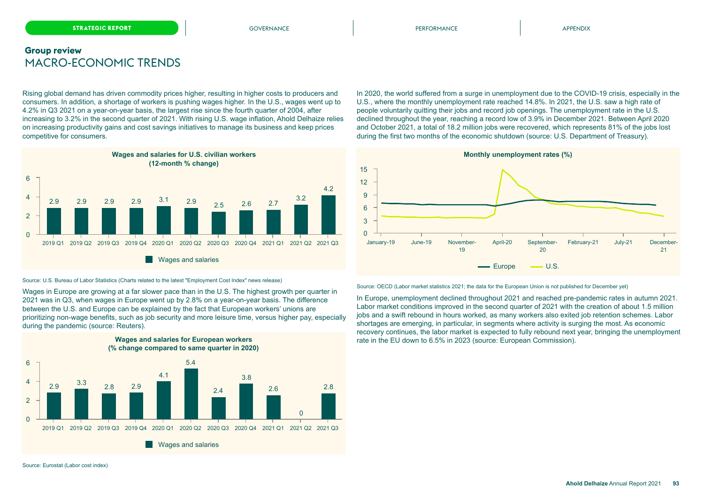### **Group review** MACRO-ECONOMIC TRENDS

Rising global demand has driven commodity prices higher, resulting in higher costs to producers and consumers. In addition, a shortage of workers is pushing wages higher. In the U.S., wages went up to 4.2% in Q3 2021 on a year-on-year basis, the largest rise since the fourth quarter of 2004, after increasing to 3.2% in the second quarter of 2021. With rising U.S. wage inflation, Ahold Delhaize relies on increasing productivity gains and cost savings initiatives to manage its business and keep prices competitive for consumers.



#### Source: U.S. Bureau of Labor Statistics (Charts related to the latest "Employment Cost Index" news release)

Wages in Europe are growing at a far slower pace than in the U.S. The highest growth per quarter in 2021 was in Q3, when wages in Europe went up by 2.8% on a year-on-year basis. The difference between the U.S. and Europe can be explained by the fact that European workers' unions are prioritizing non-wage benefits, such as job security and more leisure time, versus higher pay, especially during the pandemic (source: Reuters).

**Wages and salaries for European workers**



In 2020, the world suffered from a surge in unemployment due to the COVID-19 crisis, especially in the U.S., where the monthly unemployment rate reached 14.8%. In 2021, the U.S. saw a high rate of people voluntarily quitting their jobs and record job openings. The unemployment rate in the U.S. declined throughout the year, reaching a record low of 3.9% in December 2021. Between April 2020 and October 2021, a total of 18.2 million jobs were recovered, which represents 81% of the jobs lost during the first two months of the economic shutdown (source: U.S. Department of Treasury).



Source: OECD (Labor market statistics 2021; the data for the European Union is not published for December yet)

In Europe, unemployment declined throughout 2021 and reached pre-pandemic rates in autumn 2021. Labor market conditions improved in the second quarter of 2021 with the creation of about 1.5 million jobs and a swift rebound in hours worked, as many workers also exited job retention schemes. Labor shortages are emerging, in particular, in segments where activity is surging the most. As economic recovery continues, the labor market is expected to fully rebound next year, bringing the unemployment rate in the EU down to 6.5% in 2023 (source: European Commission).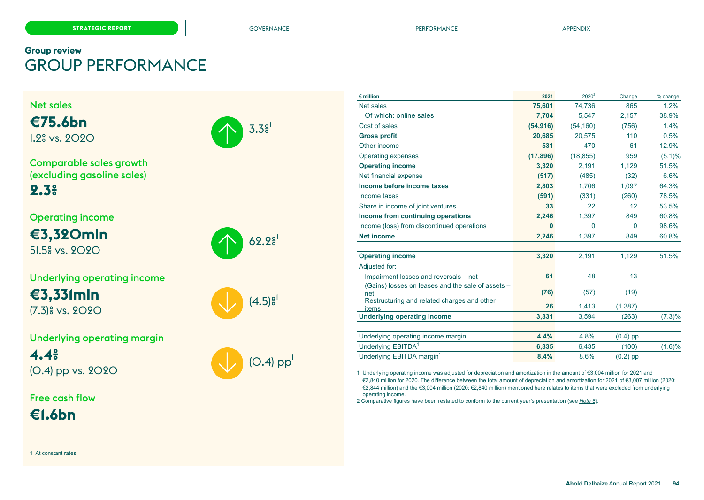$3.3<sup>°</sup>$ 

62.9<sup>g</sup>

 $(4.5)$ <sup>s</sup>

# **Group review** GROUP PERFORMANCE

Net sales **€75.6bn**

1.2% vs. 2020



Operating income

**€3,320mln** 51.5% vs. 2020



**€3,331mln** (7.3)% vs. 2020

Underlying operating margin **4.4%**

(0.4) pp vs. 2020

Free cash flow

(O.4)  ${\sf pp}^!$ 

| $\epsilon$ million                                       | 2021      | 2020 <sup>2</sup> | Change     | % change  |
|----------------------------------------------------------|-----------|-------------------|------------|-----------|
| Net sales                                                | 75,601    | 74,736            | 865        | 1.2%      |
| Of which: online sales                                   | 7,704     | 5,547             | 2,157      | 38.9%     |
| Cost of sales                                            | (54, 916) | (54, 160)         | (756)      | 1.4%      |
| <b>Gross profit</b>                                      | 20,685    | 20,575            | 110        | 0.5%      |
| Other income                                             | 531       | 470               | 61         | 12.9%     |
| Operating expenses                                       | (17, 896) | (18, 855)         | 959        | (5.1)%    |
| <b>Operating income</b>                                  | 3,320     | 2,191             | 1,129      | 51.5%     |
| Net financial expense                                    | (517)     | (485)             | (32)       | 6.6%      |
| Income before income taxes                               | 2,803     | 1,706             | 1,097      | 64.3%     |
| Income taxes                                             | (591)     | (331)             | (260)      | 78.5%     |
| Share in income of joint ventures                        | 33        | 22                | 12         | 53.5%     |
| Income from continuing operations                        | 2,246     | 1.397             | 849        | 60.8%     |
| Income (loss) from discontinued operations               | $\bf{0}$  | $\mathbf{0}$      | $\Omega$   | 98.6%     |
| <b>Net income</b>                                        | 2,246     | 1,397             | 849        | 60.8%     |
|                                                          |           |                   |            |           |
| <b>Operating income</b>                                  | 3,320     | 2,191             | 1,129      | 51.5%     |
| Adjusted for:                                            |           |                   |            |           |
| Impairment losses and reversals - net                    | 61        | 48                | 13         |           |
| (Gains) losses on leases and the sale of assets -<br>net | (76)      | (57)              | (19)       |           |
| Restructuring and related charges and other              | 26        | 1,413             | (1, 387)   |           |
| items                                                    |           |                   |            |           |
| <b>Underlying operating income</b>                       | 3,331     | 3,594             | (263)      | $(7.3)\%$ |
| Underlying operating income margin                       | 4.4%      | 4.8%              | $(0.4)$ pp |           |
| Underlying EBITDA <sup>1</sup>                           | 6,335     | 6,435             | (100)      | (1.6)%    |
| Underlying EBITDA margin <sup>1</sup>                    | 8.4%      | 8.6%              | $(0.2)$ pp |           |
|                                                          |           |                   |            |           |

1 Underlying operating income was adjusted for depreciation and amortization in the amount of €3,004 million for 2021 and €2,840 million for 2020. The difference between the total amount of depreciation and amortization for 2021 of €3,007 million (2020: €2,844 million) and the €3,004 million (2020: €2,840 million) mentioned here relates to items that were excluded from underlying operating income.

2 Comparative figures have been restated to conform to the current year's presentation (see *Note 8*).

1 At constant rates.

**€1.6bn**

**Ahold Delhaize** Annual Report 2021 **94**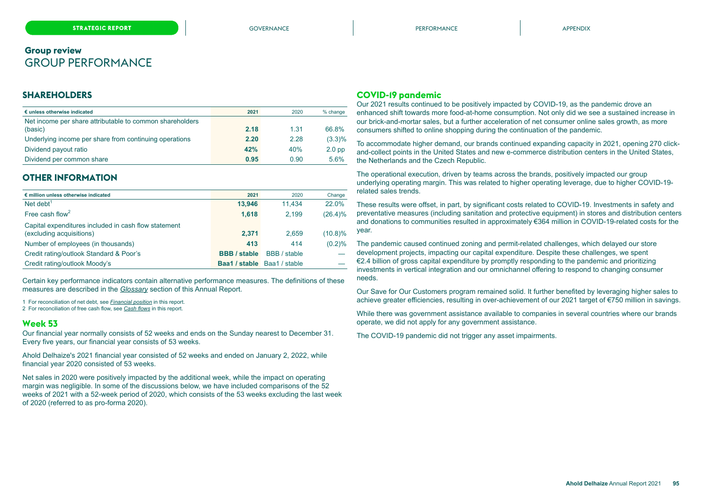### <span id="page-7-0"></span>**SHAREHOLDERS**

| € unless otherwise indicated                             | 2021 | 2020 | % change  |
|----------------------------------------------------------|------|------|-----------|
| Net income per share attributable to common shareholders |      |      |           |
| (basic)                                                  | 2.18 | 1.31 | 66.8%     |
| Underlying income per share from continuing operations   | 2.20 | 2.28 | $(3.3)\%$ |
| Dividend payout ratio                                    | 42%  | 40%  | $2.0$ pp  |
| Dividend per common share                                | 0.95 | 0.90 | 5.6%      |

### **OTHER INFORMATION**

| € million unless otherwise indicated                                             | 2021                | 2020                               | Change     |
|----------------------------------------------------------------------------------|---------------------|------------------------------------|------------|
| Net debt $1$                                                                     | 13.946              | 11.434                             | 22.0%      |
| Free cash flow <sup>2</sup>                                                      | 1,618               | 2.199                              | $(26.4)\%$ |
| Capital expenditures included in cash flow statement<br>(excluding acquisitions) | 2.371               | 2.659                              | $(10.8)\%$ |
| Number of employees (in thousands)                                               | 413                 | 414                                | (0.2)%     |
| Credit rating/outlook Standard & Poor's                                          | <b>BBB</b> / stable | BBB / stable                       |            |
| Credit rating/outlook Moody's                                                    |                     | <b>Baa1 / stable</b> Baa1 / stable |            |

Certain key performance indicators contain alternative performance measures. The definitions of these measures are described in the *[Glossary](#page-37-0)* section of this Annual Report.

1 For reconciliation of net debt, see *[Financial position](#page-14-0)* in this report.

2 For reconciliation of free cash flow, see *[Cash flows](#page-17-0)* in this report.

#### **Week 53**

Our financial year normally consists of 52 weeks and ends on the Sunday nearest to December 31. Every five years, our financial year consists of 53 weeks.

Ahold Delhaize's 2021 financial year consisted of 52 weeks and ended on January 2, 2022, while financial year 2020 consisted of 53 weeks.

Net sales in 2020 were positively impacted by the additional week, while the impact on operating margin was negligible. In some of the discussions below, we have included comparisons of the 52 weeks of 2021 with a 52-week period of 2020, which consists of the 53 weeks excluding the last week of 2020 (referred to as pro-forma 2020).

### **COVID-19 pandemic**

Our 2021 results continued to be positively impacted by COVID-19, as the pandemic drove an enhanced shift towards more food-at-home consumption. Not only did we see a sustained increase in our brick-and-mortar sales, but a further acceleration of net consumer online sales growth, as more consumers shifted to online shopping during the continuation of the pandemic.

To accommodate higher demand, our brands continued expanding capacity in 2021, opening 270 clickand-collect points in the United States and new e-commerce distribution centers in the United States, the Netherlands and the Czech Republic.

The operational execution, driven by teams across the brands, positively impacted our group underlying operating margin. This was related to higher operating leverage, due to higher COVID-19 related sales trends.

These results were offset, in part, by significant costs related to COVID-19. Investments in safety and preventative measures (including sanitation and protective equipment) in stores and distribution centers and donations to communities resulted in approximately €364 million in COVID-19-related costs for the year.

The pandemic caused continued zoning and permit-related challenges, which delayed our store development projects, impacting our capital expenditure. Despite these challenges, we spent €2.4 billion of gross capital expenditure by promptly responding to the pandemic and prioritizing investments in vertical integration and our omnichannel offering to respond to changing consumer needs.

Our Save for Our Customers program remained solid. It further benefited by leveraging higher sales to achieve greater efficiencies, resulting in over-achievement of our 2021 target of €750 million in savings.

While there was government assistance available to companies in several countries where our brands operate, we did not apply for any government assistance.

The COVID-19 pandemic did not trigger any asset impairments.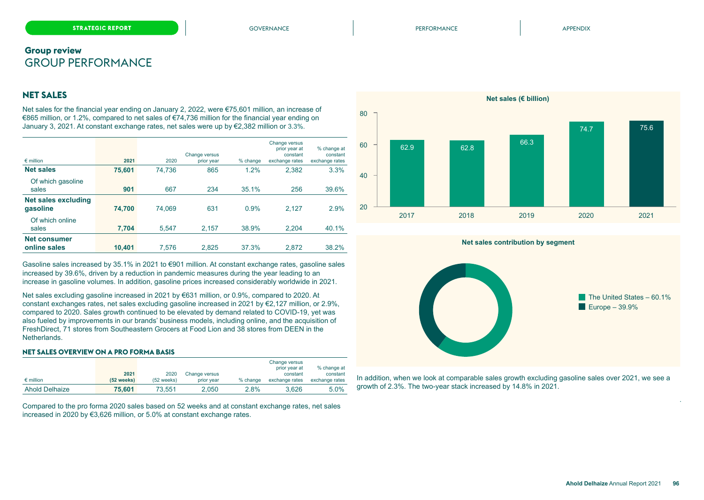### **NET SALES**

Net sales for the financial year ending on January 2, 2022, were €75,601 million, an increase of €865 million, or 1.2%, compared to net sales of €74,736 million for the financial year ending on January 3, 2021. At constant exchange rates, net sales were up by €2,382 million or 3.3%.

| $\epsilon$ million                     | 2021   | 2020   | Change versus<br>prior year | % change | Change versus<br>prior year at<br>constant<br>exchange rates | % change at<br>constant<br>exchange rates |
|----------------------------------------|--------|--------|-----------------------------|----------|--------------------------------------------------------------|-------------------------------------------|
| <b>Net sales</b>                       | 75.601 | 74.736 | 865                         | 1.2%     | 2,382                                                        | 3.3%                                      |
| Of which gasoline<br>sales             | 901    | 667    | 234                         | 35.1%    | 256                                                          | 39.6%                                     |
| <b>Net sales excluding</b><br>qasoline | 74.700 | 74.069 | 631                         | 0.9%     | 2.127                                                        | 2.9%                                      |
| Of which online<br>sales               | 7.704  | 5.547  | 2.157                       | 38.9%    | 2.204                                                        | 40.1%                                     |
| <b>Net consumer</b><br>online sales    | 10.401 | 7.576  | 2.825                       | 37.3%    | 2.872                                                        | 38.2%                                     |

Gasoline sales increased by 35.1% in 2021 to €901 million. At constant exchange rates, gasoline sales increased by 39.6%, driven by a reduction in pandemic measures during the year leading to an increase in gasoline volumes. In addition, gasoline prices increased considerably worldwide in 2021.

Net sales excluding gasoline increased in 2021 by €631 million, or 0.9%, compared to 2020. At constant exchanges rates, net sales excluding gasoline increased in 2021 by €2,127 million, or 2.9%, compared to 2020. Sales growth continued to be elevated by demand related to COVID-19, yet was also fueled by improvements in our brands' business models, including online, and the acquisition of FreshDirect, 71 stores from Southeastern Grocers at Food Lion and 38 stores from DEEN in the Netherlands.

#### **NET SALES OVERVIEW ON A PRO FORMA BASIS**

|                    |            |                      |               |            | Change versus<br>prior year at | % change at    |
|--------------------|------------|----------------------|---------------|------------|--------------------------------|----------------|
|                    | 2021       | 2020                 | Change versus |            | constant                       | constant       |
| $\epsilon$ million | (52 weeks) | $(52 \text{ weeks})$ | prior year    | $%$ change | exchange rates                 | exchange rates |
| Ahold Delhaize     | 75,601     | 73.551               | 2.050         | 2.8%       | 3.626                          | $5.0\%$        |

Compared to the pro forma 2020 sales based on 52 weeks and at constant exchange rates, net sales increased in 2020 by €3,626 million, or 5.0% at constant exchange rates.



#### **Net sales contribution by segment**



In addition, when we look at comparable sales growth excluding gasoline sales over 2021, we see a growth of 2.3%. The two-year stack increased by 14.8% in 2021.

.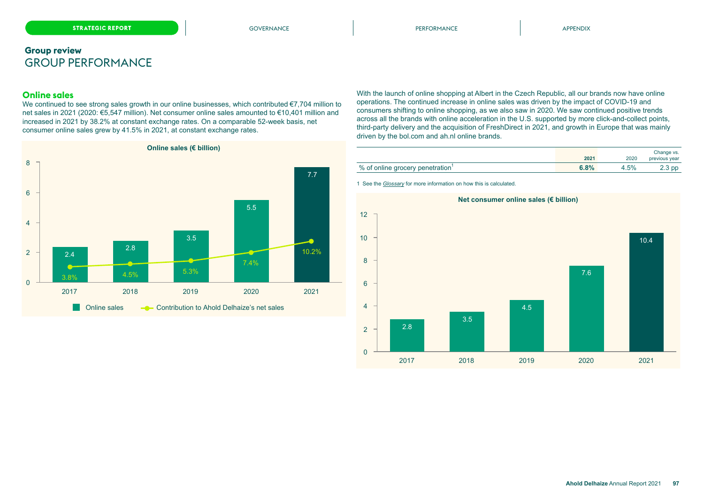### **Online sales**

We continued to see strong sales growth in our online businesses, which contributed €7,704 million to net sales in 2021 (2020: €5,547 million). Net consumer online sales amounted to €10,401 million and increased in 2021 by 38.2% at constant exchange rates. On a comparable 52-week basis, net consumer online sales grew by 41.5% in 2021, at constant exchange rates.



With the launch of online shopping at Albert in the Czech Republic, all our brands now have online operations. The continued increase in online sales was driven by the impact of COVID-19 and consumers shifting to online shopping, as we also saw in 2020. We saw continued positive trends across all the brands with online acceleration in the U.S. supported by more click-and-collect points, third-party delivery and the acquisition of FreshDirect in 2021, and growth in Europe that was mainly driven by the bol.com and ah.nl online brands.

|                                              | 2021 | 2020 | Change vs.<br>previous year |
|----------------------------------------------|------|------|-----------------------------|
| % of online grocery penetration <sup>1</sup> | 6.8% | 4.5% | 2.3 pp                      |

1 See the *[Glossary](#page-37-0)* for more information on how this is calculated.

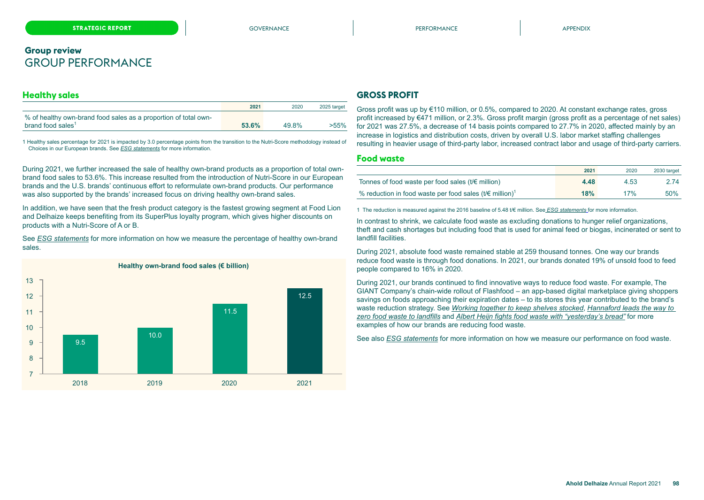### **Healthy sales**

|                                                                 | 2021  | 2020  | 2025 target |
|-----------------------------------------------------------------|-------|-------|-------------|
| % of healthy own-brand food sales as a proportion of total own- |       |       |             |
| brand food sales <sup>1</sup>                                   | 53.6% | 49.8% | >55%        |

1 Healthy sales percentage for 2021 is impacted by 3.0 percentage points from the transition to the Nutri-Score methodology instead of Choices in our European brands. See *ESG statements* for more information.

During 2021, we further increased the sale of healthy own-brand products as a proportion of total ownbrand food sales to 53.6%. This increase resulted from the introduction of Nutri-Score in our European brands and the U.S. brands' continuous effort to reformulate own-brand products. Our performance was also supported by the brands' increased focus on driving healthy own-brand sales.

In addition, we have seen that the fresh product category is the fastest growing segment at Food Lion and Delhaize keeps benefiting from its SuperPlus loyalty program, which gives higher discounts on products with a Nutri-Score of A or B.

See *ESG statements* for more information on how we measure the percentage of healthy own-brand sales.



### **GROSS PROFIT**

Gross profit was up by €110 million, or 0.5%, compared to 2020. At constant exchange rates, gross profit increased by €471 million, or 2.3%. Gross profit margin (gross profit as a percentage of net sales) for 2021 was 27.5%, a decrease of 14 basis points compared to 27.7% in 2020, affected mainly by an increase in logistics and distribution costs, driven by overall U.S. labor market staffing challenges resulting in heavier usage of third-party labor, increased contract labor and usage of third-party carriers.

#### **Food waste**

|                                                                                  | 2021 | 2020 | 2030 target |
|----------------------------------------------------------------------------------|------|------|-------------|
| Tonnes of food waste per food sales ( $t \notin \text{million}$ )                | 4.48 | 4.53 | 2.74        |
| % reduction in food waste per food sales ( $t \in \text{million}$ ) <sup>1</sup> | 18%  | 17%  | 50%         |

1 The reduction is measured against the 2016 baseline of 5.48 t/€ million. See *ESG statements* for more information.

In contrast to shrink, we calculate food waste as excluding donations to hunger relief organizations, theft and cash shortages but including food that is used for animal feed or biogas, incinerated or sent to landfill facilities.

During 2021, absolute food waste remained stable at 259 thousand tonnes. One way our brands reduce food waste is through food donations. In 2021, our brands donated 19% of unsold food to feed people compared to 16% in 2020.

During 2021, our brands continued to find innovative ways to reduce food waste. For example, The GIANT Company's chain-wide rollout of Flashfood – an app-based digital marketplace giving shoppers savings on foods approaching their expiration dates – to its stores this year contributed to the brand's waste reduction strategy. See *Working together to keep shelves stocked*, *Hannaford leads the way to zero food waste to landfills* and *Albert Heijn fights food waste with "yesterday's bread"* for more examples of how our brands are reducing food waste.

See also *ESG statements* for more information on how we measure our performance on food waste.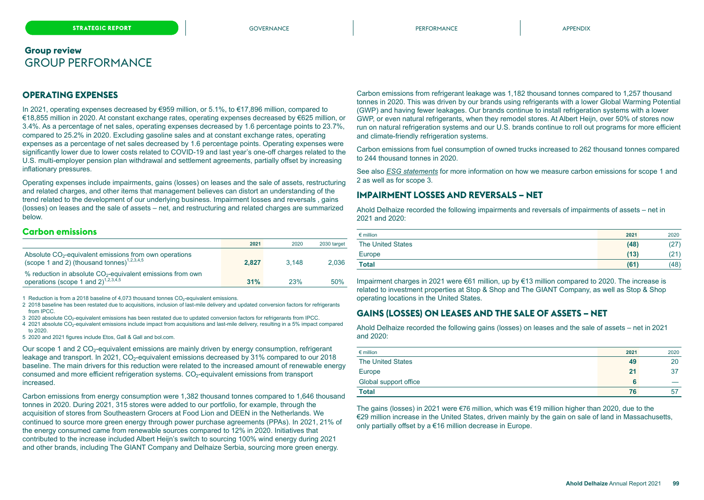### **OPERATING EXPENSES**

In 2021, operating expenses decreased by €959 million, or 5.1%, to €17,896 million, compared to €18,855 million in 2020. At constant exchange rates, operating expenses decreased by €625 million, or 3.4%. As a percentage of net sales, operating expenses decreased by 1.6 percentage points to 23.7%, compared to 25.2% in 2020. Excluding gasoline sales and at constant exchange rates, operating expenses as a percentage of net sales decreased by 1.6 percentage points. Operating expenses were significantly lower due to lower costs related to COVID-19 and last year's one-off charges related to the U.S. multi-employer pension plan withdrawal and settlement agreements, partially offset by increasing inflationary pressures.

Operating expenses include impairments, gains (losses) on leases and the sale of assets, restructuring and related charges, and other items that management believes can distort an understanding of the trend related to the development of our underlying business. Impairment losses and reversals , gains (losses) on leases and the sale of assets – net, and restructuring and related charges are summarized below.

### **Carbon emissions**

|                                                                                                                              | 2021  | 2020  | 2030 target |
|------------------------------------------------------------------------------------------------------------------------------|-------|-------|-------------|
| Absolute CO <sub>2</sub> -equivalent emissions from own operations<br>(scope 1 and 2) (thousand tonnes) <sup>1,2,3,4,5</sup> | 2.827 | 3.148 | 2.036       |
| % reduction in absolute $CO2$ -equivalent emissions from own<br>operations (scope 1 and $2$ ) <sup>1,2,3,4,5</sup>           | 31%   | 23%   | 50%         |

1 Reduction is from a 2018 baseline of 4,073 thousand tonnes CO<sub>2</sub>-equivalent emissions.

2 2018 baseline has been restated due to acquisitions, inclusion of last-mile delivery and updated conversion factors for refrigerants from IPCC.

3 2020 absolute CO<sub>2</sub>-equivalent emissions has been restated due to updated conversion factors for refrigerants from IPCC.

4 2021 absolute CO<sub>2</sub>-equivalent emissions include impact from acquisitions and last-mile delivery, resulting in a 5% impact compared to 2020.

5 2020 and 2021 figures include Etos, Gall & Gall and bol.com.

Our scope 1 and 2  $CO<sub>2</sub>$ -equivalent emissions are mainly driven by energy consumption, refrigerant leakage and transport. In 2021, CO<sub>2</sub>-equivalent emissions decreased by 31% compared to our 2018 baseline. The main drivers for this reduction were related to the increased amount of renewable energy consumed and more efficient refrigeration systems.  $CO<sub>2</sub>$ -equivalent emissions from transport increased.

Carbon emissions from energy consumption were 1,382 thousand tonnes compared to 1,646 thousand tonnes in 2020. During 2021, 315 stores were added to our portfolio, for example, through the acquisition of stores from Southeastern Grocers at Food Lion and DEEN in the Netherlands. We continued to source more green energy through power purchase agreements (PPAs). In 2021, 21% of the energy consumed came from renewable sources compared to 12% in 2020. Initiatives that contributed to the increase included Albert Heijn's switch to sourcing 100% wind energy during 2021 and other brands, including The GIANT Company and Delhaize Serbia, sourcing more green energy.

Carbon emissions from refrigerant leakage was 1,182 thousand tonnes compared to 1,257 thousand tonnes in 2020. This was driven by our brands using refrigerants with a lower Global Warming Potential (GWP) and having fewer leakages. Our brands continue to install refrigeration systems with a lower GWP, or even natural refrigerants, when they remodel stores. At Albert Heijn, over 50% of stores now run on natural refrigeration systems and our U.S. brands continue to roll out programs for more efficient and climate-friendly refrigeration systems.

Carbon emissions from fuel consumption of owned trucks increased to 262 thousand tonnes compared to 244 thousand tonnes in 2020.

See also *ESG statements* for more information on how we measure carbon emissions for scope 1 and 2 as well as for scope 3.

### **IMPAIRMENT LOSSES AND REVERSALS – NET**

Ahold Delhaize recorded the following impairments and reversals of impairments of assets – net in 2021 and 2020:

| $\epsilon$ million       | 2021 | 2020 |
|--------------------------|------|------|
| <b>The United States</b> | (48) | (27) |
| Europe                   | (13) | (21) |
| <b>Total</b>             | (61) | (48) |

Impairment charges in 2021 were €61 million, up by €13 million compared to 2020. The increase is related to investment properties at Stop & Shop and The GIANT Company, as well as Stop & Shop operating locations in the United States.

### **GAINS (LOSSES) ON LEASES AND THE SALE OF ASSETS – NET**

Ahold Delhaize recorded the following gains (losses) on leases and the sale of assets – net in 2021 and 2020:

| $\epsilon$ million       | 2021 | 2020 |
|--------------------------|------|------|
| <b>The United States</b> | 49   | 20   |
| Europe                   | 21   | 37   |
| Global support office    |      |      |
| Total                    | 76   | 57   |

The gains (losses) in 2021 were €76 million, which was €19 million higher than 2020, due to the €29 million increase in the United States, driven mainly by the gain on sale of land in Massachusetts, only partially offset by a €16 million decrease in Europe.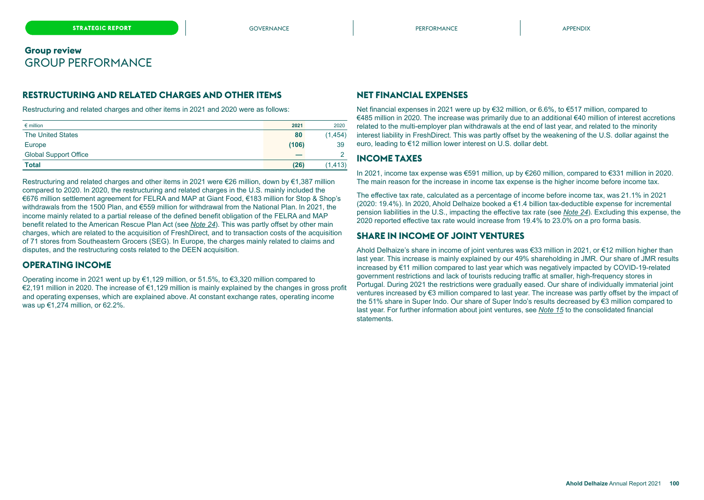### **RESTRUCTURING AND RELATED CHARGES AND OTHER ITEMS**

Restructuring and related charges and other items in 2021 and 2020 were as follows:

| $\epsilon$ million           | 2021  | 2020     |
|------------------------------|-------|----------|
| <b>The United States</b>     | 80    | (1, 454) |
| Europe                       | (106) | 39       |
| <b>Global Support Office</b> |       |          |
| <b>Total</b>                 | (26)  | (1, 413) |

Restructuring and related charges and other items in 2021 were €26 million, down by €1,387 million compared to 2020. In 2020, the restructuring and related charges in the U.S. mainly included the €676 million settlement agreement for FELRA and MAP at Giant Food, €183 million for Stop & Shop's withdrawals from the 1500 Plan, and €559 million for withdrawal from the National Plan. In 2021, the income mainly related to a partial release of the defined benefit obligation of the FELRA and MAP benefit related to the American Rescue Plan Act (see *Note 24*). This was partly offset by other main charges, which are related to the acquisition of FreshDirect, and to transaction costs of the acquisition of 71 stores from Southeastern Grocers (SEG). In Europe, the charges mainly related to claims and disputes, and the restructuring costs related to the DEEN acquisition.

### **OPERATING INCOME**

Operating income in 2021 went up by  $\epsilon$ 1,129 million, or 51.5%, to  $\epsilon$ 3,320 million compared to €2,191 million in 2020. The increase of €1,129 million is mainly explained by the changes in gross profit and operating expenses, which are explained above. At constant exchange rates, operating income was up €1,274 million, or 62.2%.

### **NET FINANCIAL EXPENSES**

Net financial expenses in 2021 were up by €32 million, or 6.6%, to €517 million, compared to €485 million in 2020. The increase was primarily due to an additional €40 million of interest accretions related to the multi-employer plan withdrawals at the end of last year, and related to the minority interest liability in FreshDirect. This was partly offset by the weakening of the U.S. dollar against the euro, leading to €12 million lower interest on U.S. dollar debt.

### **INCOME TAXES**

In 2021, income tax expense was €591 million, up by €260 million, compared to €331 million in 2020. The main reason for the increase in income tax expense is the higher income before income tax.

The effective tax rate, calculated as a percentage of income before income tax, was 21.1% in 2021 (2020: 19.4%). In 2020, Ahold Delhaize booked a €1.4 billion tax-deductible expense for incremental pension liabilities in the U.S., impacting the effective tax rate (see *Note 24*). Excluding this expense, the 2020 reported effective tax rate would increase from 19.4% to 23.0% on a pro forma basis.

### **SHARE IN INCOME OF JOINT VENTURES**

Ahold Delhaize's share in income of joint ventures was €33 million in 2021, or €12 million higher than last year. This increase is mainly explained by our 49% shareholding in JMR. Our share of JMR results increased by €11 million compared to last year which was negatively impacted by COVID-19-related government restrictions and lack of tourists reducing traffic at smaller, high-frequency stores in Portugal. During 2021 the restrictions were gradually eased. Our share of individually immaterial joint ventures increased by €3 million compared to last year. The increase was partly offset by the impact of the 51% share in Super Indo. Our share of Super Indo's results decreased by €3 million compared to last year. For further information about joint ventures, see *Note 15* to the consolidated financial **statements**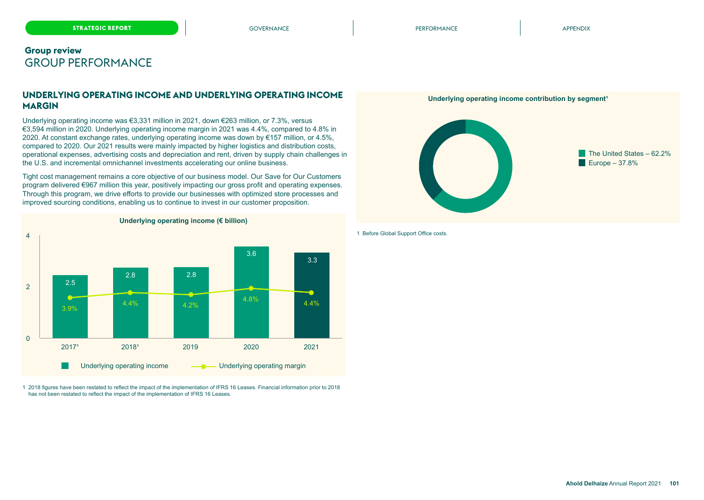### **UNDERLYING OPERATING INCOME AND UNDERLYING OPERATING INCOME MARGIN**

Underlying operating income was €3,331 million in 2021, down €263 million, or 7.3%, versus €3,594 million in 2020. Underlying operating income margin in 2021 was 4.4%, compared to 4.8% in 2020. At constant exchange rates, underlying operating income was down by €157 million, or 4.5%, compared to 2020. Our 2021 results were mainly impacted by higher logistics and distribution costs, operational expenses, advertising costs and depreciation and rent, driven by supply chain challenges in the U.S. and incremental omnichannel investments accelerating our online business.

Tight cost management remains a core objective of our business model. Our Save for Our Customers program delivered €967 million this year, positively impacting our gross profit and operating expenses. Through this program, we drive efforts to provide our businesses with optimized store processes and improved sourcing conditions, enabling us to continue to invest in our customer proposition.



### **Underlying operating income (€ billion)**



1 2018 figures have been restated to reflect the impact of the implementation of IFRS 16 Leases. Financial information prior to 2018 has not been restated to reflect the impact of the implementation of IFRS 16 Leases.

#### 1 Before Global Support Office costs.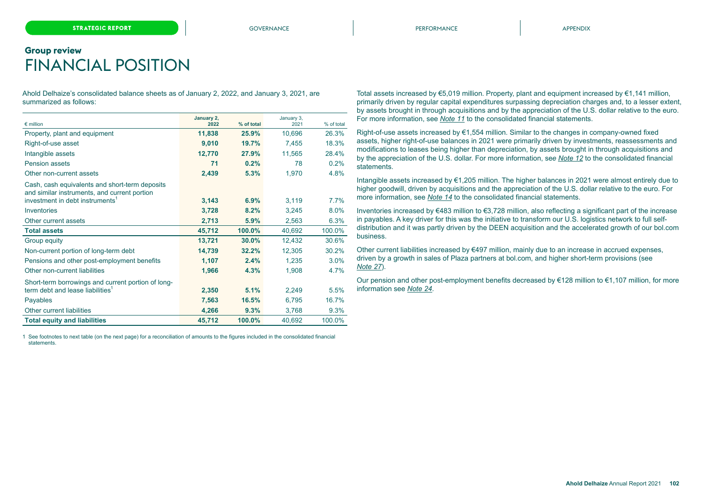# <span id="page-14-0"></span>**Group review** FINANCIAL POSITION

Ahold Delhaize's consolidated balance sheets as of January 2, 2022, and January 3, 2021, are summarized as follows:

| $\epsilon$ million                                                                                                                            | January 2,<br>2022 | % of total | January 3,<br>2021 | % of total |
|-----------------------------------------------------------------------------------------------------------------------------------------------|--------------------|------------|--------------------|------------|
| Property, plant and equipment                                                                                                                 | 11,838             | 25.9%      | 10,696             | 26.3%      |
| Right-of-use asset                                                                                                                            | 9,010              | 19.7%      | 7,455              | 18.3%      |
| Intangible assets                                                                                                                             | 12,770             | 27.9%      | 11,565             | 28.4%      |
| Pension assets                                                                                                                                | 71                 | 0.2%       | 78                 | 0.2%       |
| Other non-current assets                                                                                                                      | 2,439              | 5.3%       | 1,970              | 4.8%       |
| Cash, cash equivalents and short-term deposits<br>and similar instruments, and current portion<br>investment in debt instruments <sup>1</sup> | 3,143              | 6.9%       | 3,119              | 7.7%       |
| Inventories                                                                                                                                   | 3,728              | 8.2%       | 3,245              | 8.0%       |
| Other current assets                                                                                                                          | 2,713              | 5.9%       | 2,563              | 6.3%       |
| <b>Total assets</b>                                                                                                                           | 45,712             | 100.0%     | 40,692             | 100.0%     |
| Group equity                                                                                                                                  | 13,721             | 30.0%      | 12,432             | 30.6%      |
| Non-current portion of long-term debt                                                                                                         | 14,739             | 32.2%      | 12,305             | 30.2%      |
| Pensions and other post-employment benefits                                                                                                   | 1,107              | 2.4%       | 1,235              | 3.0%       |
| Other non-current liabilities                                                                                                                 | 1,966              | 4.3%       | 1,908              | 4.7%       |
| Short-term borrowings and current portion of long-<br>term debt and lease liabilities <sup>1</sup>                                            | 2,350              | 5.1%       | 2,249              | 5.5%       |
| Payables                                                                                                                                      | 7,563              | 16.5%      | 6,795              | 16.7%      |
| Other current liabilities                                                                                                                     | 4,266              | 9.3%       | 3,768              | 9.3%       |
| <b>Total equity and liabilities</b>                                                                                                           | 45,712             | 100.0%     | 40,692             | 100.0%     |

1 See footnotes to next table (on the next page) for a reconciliation of amounts to the figures included in the consolidated financial statements.

Total assets increased by €5,019 million. Property, plant and equipment increased by €1,141 million, primarily driven by regular capital expenditures surpassing depreciation charges and, to a lesser extent, by assets brought in through acquisitions and by the appreciation of the U.S. dollar relative to the euro. For more information, see *Note 11* to the consolidated financial statements.

Right-of-use assets increased by €1,554 million. Similar to the changes in company-owned fixed assets, higher right-of-use balances in 2021 were primarily driven by investments, reassessments and modifications to leases being higher than depreciation, by assets brought in through acquisitions and by the appreciation of the U.S. dollar. For more information, se*e Note 12* to the consolidated financial statements.

Intangible assets increased by €1,205 million. The higher balances in 2021 were almost entirely due to higher goodwill, driven by acquisitions and the appreciation of the U.S. dollar relative to the euro. For more information, see *Note 14* to the consolidated financial statements.

Inventories increased by €483 million to €3,728 million, also reflecting a significant part of the increase in payables. A key driver for this was the initiative to transform our U.S. logistics network to full selfdistribution and it was partly driven by the DEEN acquisition and the accelerated growth of our bol.com business.

Other current liabilities increased by €497 million, mainly due to an increase in accrued expenses, driven by a growth in sales of Plaza partners at bol.com, and higher short-term provisions (see *Note 27*).

Our pension and other post-employment benefits decreased by  $\epsilon$ 128 million to  $\epsilon$ 1,107 million, for more information see *Note 24*.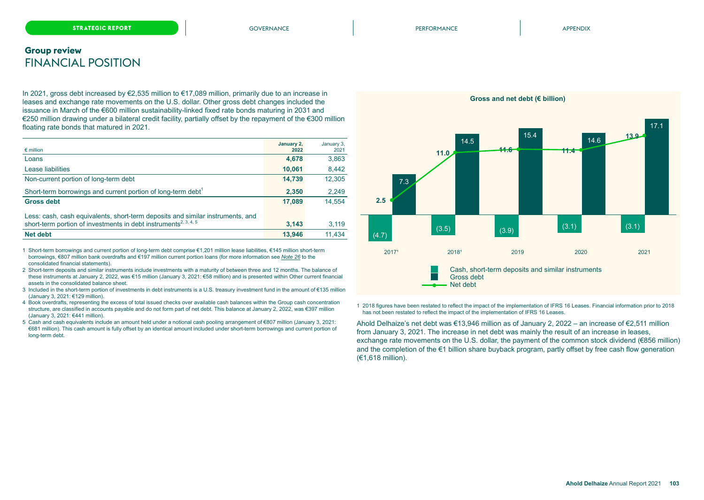### **Group review** FINANCIAL POSITION

In 2021, gross debt increased by €2,535 million to €17,089 million, primarily due to an increase in leases and exchange rate movements on the U.S. dollar. Other gross debt changes included the issuance in March of the €600 million sustainability-linked fixed rate bonds maturing in 2031 and €250 million drawing under a bilateral credit facility, partially offset by the repayment of the €300 million floating rate bonds that matured in 2021.

| $\epsilon$ million                                                             | January 2,<br>2022 | January 3,<br>2021 |
|--------------------------------------------------------------------------------|--------------------|--------------------|
| Loans                                                                          | 4,678              | 3,863              |
| Lease liabilities                                                              | 10.061             | 8,442              |
| Non-current portion of long-term debt                                          | 14,739             | 12,305             |
| Short-term borrowings and current portion of long-term debt <sup>1</sup>       | 2,350              | 2,249              |
| <b>Gross debt</b>                                                              | 17,089             | 14.554             |
| Less: cash, cash equivalents, short-term deposits and similar instruments, and |                    |                    |
| short-term portion of investments in debt instruments <sup>2, 3, 4, 5</sup>    | 3.143              | 3,119              |
| Net debt                                                                       | 13.946             | 11.434             |

1 Short-term borrowings and current portion of long-term debt comprise €1,201 million lease liabilities, €145 million short-term borrowings, €807 million bank overdrafts and €197 million current portion loans (for more information see *Note 26* to the consolidated financial statements).

- 2 Short-term deposits and similar instruments include investments with a maturity of between three and 12 months. The balance of these instruments at January 2, 2022, was €15 million (January 3, 2021: €58 million) and is presented within Other current financial assets in the consolidated balance sheet.
- 3 Included in the short-term portion of investments in debt instruments is a U.S. treasury investment fund in the amount of €135 million (January 3, 2021: €129 million).
- 4 Book overdrafts, representing the excess of total issued checks over available cash balances within the Group cash concentration structure, are classified in accounts payable and do not form part of net debt. This balance at January 2, 2022, was €397 million (January 3, 2021: €441 million).
- 5 Cash and cash equivalents include an amount held under a notional cash pooling arrangement of €807 million (January 3, 2021: €681 million). This cash amount is fully offset by an identical amount included under short-term borrowings and current portion of long-term debt.



1 2018 figures have been restated to reflect the impact of the implementation of IFRS 16 Leases. Financial information prior to 2018 has not been restated to reflect the impact of the implementation of IFRS 16 Leases.

Ahold Delhaize's net debt was €13,946 million as of January 2, 2022 – an increase of €2,511 million from January 3, 2021. The increase in net debt was mainly the result of an increase in leases, exchange rate movements on the U.S. dollar, the payment of the common stock dividend (€856 million) and the completion of the €1 billion share buyback program, partly offset by free cash flow generation (€1,618 million).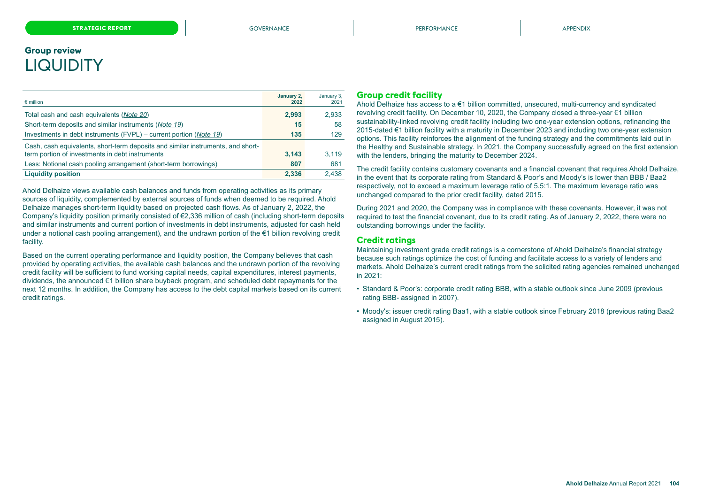# <span id="page-16-0"></span>**Group review LIQUIDITY**

| $\epsilon$ million                                                                                                                 | January 2,<br>2022 | January 3,<br>2021 |
|------------------------------------------------------------------------------------------------------------------------------------|--------------------|--------------------|
| Total cash and cash equivalents (Note 20)                                                                                          | 2,993              | 2,933              |
| Short-term deposits and similar instruments (Note 19)                                                                              | 15                 | 58                 |
| Investments in debt instruments (FVPL) – current portion (Note 19)                                                                 | 135                | 129                |
| Cash, cash equivalents, short-term deposits and similar instruments, and short-<br>term portion of investments in debt instruments | 3.143              | 3.119              |
| Less: Notional cash pooling arrangement (short-term borrowings)                                                                    | 807                | 681                |
| <b>Liquidity position</b>                                                                                                          | 2.336              | 2,438              |

Ahold Delhaize views available cash balances and funds from operating activities as its primary sources of liquidity, complemented by external sources of funds when deemed to be required. Ahold Delhaize manages short-term liquidity based on projected cash flows. As of January 2, 2022, the Company's liquidity position primarily consisted of €2,336 million of cash (including short-term deposits and similar instruments and current portion of investments in debt instruments, adjusted for cash held under a notional cash pooling arrangement), and the undrawn portion of the €1 billion revolving credit facility.

Based on the current operating performance and liquidity position, the Company believes that cash provided by operating activities, the available cash balances and the undrawn portion of the revolving credit facility will be sufficient to fund working capital needs, capital expenditures, interest payments, dividends, the announced €1 billion share buyback program, and scheduled debt repayments for the next 12 months. In addition, the Company has access to the debt capital markets based on its current credit ratings.

### **Group credit facility**

Ahold Delhaize has access to a €1 billion committed, unsecured, multi-currency and syndicated revolving credit facility. On December 10, 2020, the Company closed a three-year €1 billion sustainability-linked revolving credit facility including two one-year extension options, refinancing the 2015-dated €1 billion facility with a maturity in December 2023 and including two one-year extension options. This facility reinforces the alignment of the funding strategy and the commitments laid out in the Healthy and Sustainable strategy. In 2021, the Company successfully agreed on the first extension with the lenders, bringing the maturity to December 2024.

The credit facility contains customary covenants and a financial covenant that requires Ahold Delhaize, in the event that its corporate rating from Standard & Poor's and Moody's is lower than BBB / Baa2 respectively, not to exceed a maximum leverage ratio of 5.5:1. The maximum leverage ratio was unchanged compared to the prior credit facility, dated 2015.

During 2021 and 2020, the Company was in compliance with these covenants. However, it was not required to test the financial covenant, due to its credit rating. As of January 2, 2022, there were no outstanding borrowings under the facility.

#### **Credit ratings**

Maintaining investment grade credit ratings is a cornerstone of Ahold Delhaize's financial strategy because such ratings optimize the cost of funding and facilitate access to a variety of lenders and markets. Ahold Delhaize's current credit ratings from the solicited rating agencies remained unchanged in 2021:

- Standard & Poor's: corporate credit rating BBB, with a stable outlook since June 2009 (previous rating BBB- assigned in 2007).
- Moody's: issuer credit rating Baa1, with a stable outlook since February 2018 (previous rating Baa2 assigned in August 2015).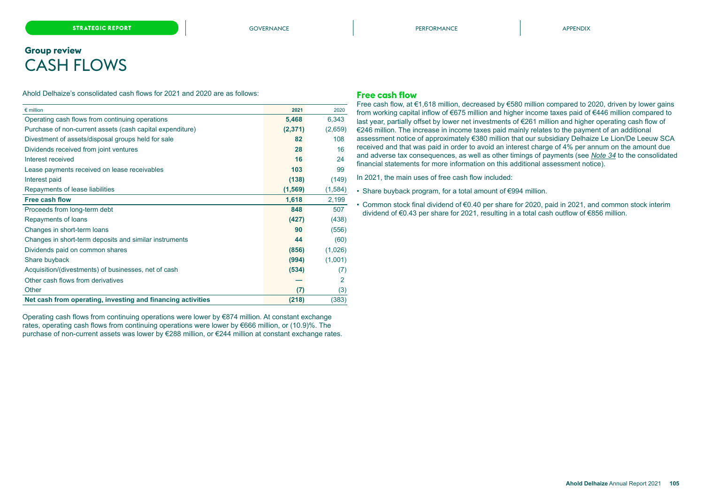# <span id="page-17-0"></span>**Group review** CASH FLOWS

Ahold Delhaize's consolidated cash flows for 2021 and 2020 are as follows:

| $\epsilon$ million                                          | 2021     | 2020    |
|-------------------------------------------------------------|----------|---------|
| Operating cash flows from continuing operations             | 5,468    | 6,343   |
| Purchase of non-current assets (cash capital expenditure)   | (2, 371) | (2,659) |
| Divestment of assets/disposal groups held for sale          | 82       | 108     |
| Dividends received from joint ventures                      | 28       | 16      |
| Interest received                                           | 16       | 24      |
| Lease payments received on lease receivables                | 103      | 99      |
| Interest paid                                               | (138)    | (149)   |
| Repayments of lease liabilities                             | (1, 569) | (1,584) |
| Free cash flow                                              | 1,618    | 2,199   |
| Proceeds from long-term debt                                | 848      | 507     |
| Repayments of loans                                         | (427)    | (438)   |
| Changes in short-term loans                                 | 90       | (556)   |
| Changes in short-term deposits and similar instruments      | 44       | (60)    |
| Dividends paid on common shares                             | (856)    | (1,026) |
| Share buyback                                               | (994)    | (1,001) |
| Acquisition/(divestments) of businesses, net of cash        | (534)    | (7)     |
| Other cash flows from derivatives                           |          | 2       |
| Other                                                       | (7)      | (3)     |
| Net cash from operating, investing and financing activities | (218)    | (383)   |

Operating cash flows from continuing operations were lower by €874 million. At constant exchange rates, operating cash flows from continuing operations were lower by €666 million, or (10.9)%. The purchase of non-current assets was lower by €288 million, or €244 million at constant exchange rates.

#### **Free cash flow**

Free cash flow, at €1,618 million, decreased by €580 million compared to 2020, driven by lower gains from working capital inflow of €675 million and higher income taxes paid of €446 million compared to last year, partially offset by lower net investments of €261 million and higher operating cash flow of €246 million. The increase in income taxes paid mainly relates to the payment of an additional assessment notice of approximately €380 million that our subsidiary Delhaize Le Lion/De Leeuw SCA received and that was paid in order to avoid an interest charge of 4% per annum on the amount due and adverse tax consequences, as well as other timings of payments (see *Note 34* to the consolidated financial statements for more information on this additional assessment notice).

In 2021, the main uses of free cash flow included:

• Share buyback program, for a total amount of €994 million.

• Common stock final dividend of €0.40 per share for 2020, paid in 2021, and common stock interim dividend of €0.43 per share for 2021, resulting in a total cash outflow of €856 million.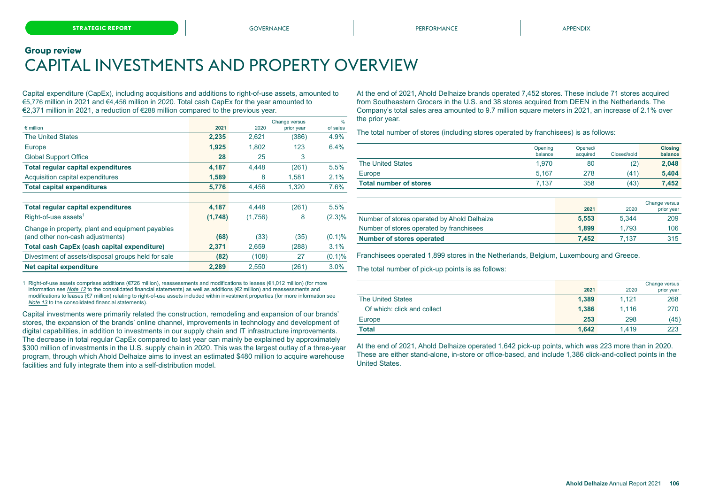# <span id="page-18-0"></span>**Group review** CAPITAL INVESTMENTS AND PROPERTY OVERVIEW

Capital expenditure (CapEx), including acquisitions and additions to right-of-use assets, amounted to €5,776 million in 2021 and €4,456 million in 2020. Total cash CapEx for the year amounted to €2,371 million in 2021, a reduction of €288 million compared to the previous year.

| $\epsilon$ million                                 | 2021    | 2020    | Change versus<br>prior year | $\frac{9}{6}$<br>of sales |
|----------------------------------------------------|---------|---------|-----------------------------|---------------------------|
| <b>The United States</b>                           | 2,235   | 2,621   | (386)                       | 4.9%                      |
| Europe                                             | 1,925   | 1.802   | 123                         | 6.4%                      |
| <b>Global Support Office</b>                       | 28      | 25      | 3                           |                           |
| <b>Total regular capital expenditures</b>          | 4,187   | 4,448   | (261)                       | 5.5%                      |
| Acquisition capital expenditures                   | 1,589   | 8       | 1.581                       | 2.1%                      |
| <b>Total capital expenditures</b>                  | 5,776   | 4.456   | 1,320                       | 7.6%                      |
|                                                    |         |         |                             |                           |
| <b>Total regular capital expenditures</b>          | 4,187   | 4,448   | (261)                       | 5.5%                      |
| Right-of-use assets <sup>1</sup>                   | (1,748) | (1,756) | 8                           | $(2.3)\%$                 |
| Change in property, plant and equipment payables   |         |         |                             |                           |
| (and other non-cash adjustments)                   | (68)    | (33)    | (35)                        | $(0.1)$ %                 |
| Total cash CapEx (cash capital expenditure)        | 2,371   | 2,659   | (288)                       | 3.1%                      |
| Divestment of assets/disposal groups held for sale | (82)    | (108)   | 27                          | $(0.1)\%$                 |
| Net capital expenditure                            | 2,289   | 2.550   | (261)                       | 3.0%                      |

1 Right-of-use assets comprises additions (€726 million), reassessments and modifications to leases (€1,012 million) (for more information see *Note 12* to the consolidated financial statements) as well as additions (€2 million) and reassessments and modifications to leases (€7 million) relating to right-of-use assets included within investment properties (for more information see *Note 13* to the consolidated financial statements).

Capital investments were primarily related the construction, remodeling and expansion of our brands' stores, the expansion of the brands' online channel, improvements in technology and development of digital capabilities, in addition to investments in our supply chain and IT infrastructure improvements. The decrease in total regular CapEx compared to last year can mainly be explained by approximately \$300 million of investments in the U.S. supply chain in 2020. This was the largest outlay of a three-year program, through which Ahold Delhaize aims to invest an estimated \$480 million to acquire warehouse facilities and fully integrate them into a self-distribution model.

At the end of 2021, Ahold Delhaize brands operated 7,452 stores. These include 71 stores acquired from Southeastern Grocers in the U.S. and 38 stores acquired from DEEN in the Netherlands. The Company's total sales area amounted to 9.7 million square meters in 2021, an increase of 2.1% over the prior year.

The total number of stores (including stores operated by franchisees) is as follows:

|                               | Opening<br>balance | Opened/<br>acquired | Closed/sold | <b>Closing</b><br>balance |
|-------------------------------|--------------------|---------------------|-------------|---------------------------|
| <b>The United States</b>      | 1.970              | 80                  | (2)         | 2.048                     |
| Europe                        | 5.167              | 278                 | (41)        | 5.404                     |
| <b>Total number of stores</b> | 7.137              | 358                 | (43)        | 7.452                     |

|                                             | 2021  | 2020  | Change versus |
|---------------------------------------------|-------|-------|---------------|
|                                             |       |       | prior year    |
| Number of stores operated by Ahold Delhaize | 5.553 | 5.344 | 209           |
| Number of stores operated by franchisees    | 1.899 | 1.793 | 106           |
| <b>Number of stores operated</b>            | 7.452 | 7.137 | 315           |

Franchisees operated 1,899 stores in the Netherlands, Belgium, Luxembourg and Greece.

The total number of pick-up points is as follows:

|                             | 2021  | 2020  | Change versus<br>prior year |
|-----------------------------|-------|-------|-----------------------------|
| <b>The United States</b>    | 1,389 | 1.121 | 268                         |
| Of which: click and collect | 1.386 | 1.116 | 270                         |
| Europe                      | 253   | 298   | (45)                        |
| <b>Total</b>                | 1.642 | 1.419 | 223                         |

At the end of 2021, Ahold Delhaize operated 1,642 pick-up points, which was 223 more than in 2020. These are either stand-alone, in-store or office-based, and include 1,386 click-and-collect points in the United States.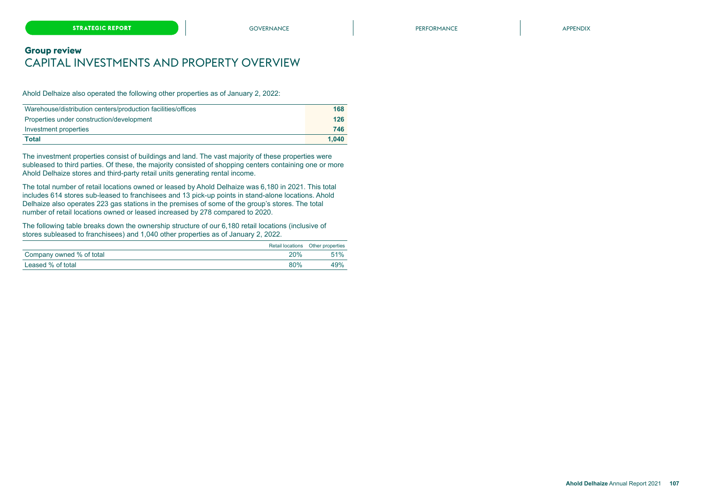### **Group review** CAPITAL INVESTMENTS AND PROPERTY OVERVIEW

Ahold Delhaize also operated the following other properties as of January 2, 2022:

| Warehouse/distribution centers/production facilities/offices | 168   |
|--------------------------------------------------------------|-------|
| Properties under construction/development                    | 126   |
| Investment properties                                        | 746   |
| Total                                                        | 1.040 |

The investment properties consist of buildings and land. The vast majority of these properties were subleased to third parties. Of these, the majority consisted of shopping centers containing one or more Ahold Delhaize stores and third-party retail units generating rental income.

The total number of retail locations owned or leased by Ahold Delhaize was 6,180 in 2021. This total includes 614 stores sub-leased to franchisees and 13 pick-up points in stand-alone locations. Ahold Delhaize also operates 223 gas stations in the premises of some of the group's stores. The total number of retail locations owned or leased increased by 278 compared to 2020.

The following table breaks down the ownership structure of our 6,180 retail locations (inclusive of stores subleased to franchisees) and 1,040 other properties as of January 2, 2022.

|                          |            | Retail locations Other properties |
|--------------------------|------------|-----------------------------------|
| Company owned % of total | 20%        | 51%                               |
| Leased % of total        | <b>80%</b> | 49%                               |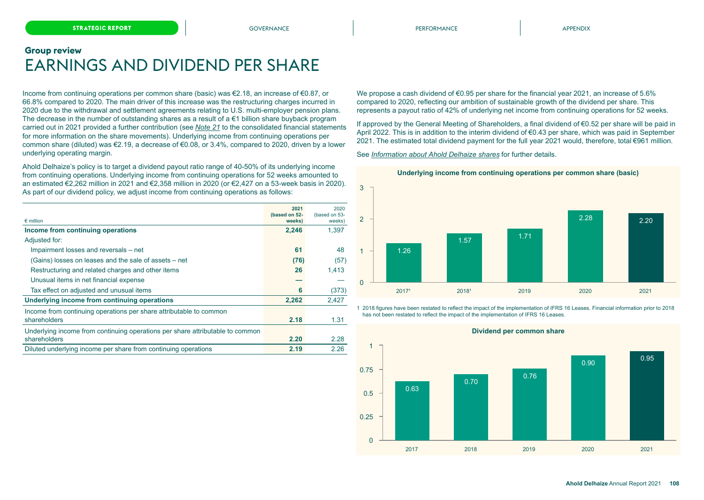# <span id="page-20-0"></span>**Group review** EARNINGS AND DIVIDEND PER SHARE

Income from continuing operations per common share (basic) was €2.18, an increase of €0.87, or 66.8% compared to 2020. The main driver of this increase was the restructuring charges incurred in 2020 due to the withdrawal and settlement agreements relating to U.S. multi-employer pension plans. The decrease in the number of outstanding shares as a result of a  $\epsilon$ 1 billion share buyback program carried out in 2021 provided a further contribution (see *Note 21* to the consolidated financial statements for more information on the share movements). Underlying income from continuing operations per common share (diluted) was €2.19, a decrease of €0.08, or 3.4%, compared to 2020, driven by a lower underlying operating margin.

Ahold Delhaize's policy is to target a dividend payout ratio range of 40-50% of its underlying income from continuing operations. Underlying income from continuing operations for 52 weeks amounted to an estimated €2,262 million in 2021 and €2,358 million in 2020 (or €2,427 on a 53-week basis in 2020). As part of our dividend policy, we adjust income from continuing operations as follows:

| $\epsilon$ million                                                            | 2021<br>(based on 52- | 2020<br>(based on 53- |
|-------------------------------------------------------------------------------|-----------------------|-----------------------|
| Income from continuing operations                                             | weeks)<br>2,246       | weeks)<br>1.397       |
| Adjusted for:                                                                 |                       |                       |
| Impairment losses and reversals – net                                         | 61                    | 48                    |
| (Gains) losses on leases and the sale of assets – net                         | (76)                  | (57)                  |
| Restructuring and related charges and other items                             | 26                    | 1.413                 |
| Unusual items in net financial expense                                        |                       |                       |
| Tax effect on adjusted and unusual items                                      | 6                     | (373)                 |
| Underlying income from continuing operations                                  | 2.262                 | 2.427                 |
| Income from continuing operations per share attributable to common            |                       |                       |
| shareholders                                                                  | 2.18                  | 1.31                  |
| Underlying income from continuing operations per share attributable to common |                       |                       |
| shareholders                                                                  | 2.20                  | 2.28                  |
| Diluted underlying income per share from continuing operations                | 2.19                  | 2.26                  |

We propose a cash dividend of €0.95 per share for the financial year 2021, an increase of 5.6% compared to 2020, reflecting our ambition of sustainable growth of the dividend per share. This represents a payout ratio of 42% of underlying net income from continuing operations for 52 weeks.

If approved by the General Meeting of Shareholders, a final dividend of €0.52 per share will be paid in April 2022. This is in addition to the interim dividend of €0.43 per share, which was paid in September 2021. The estimated total dividend payment for the full year 2021 would, therefore, total €961 million.

See *[Information about Ahold Delhaize shares](#page-32-0)* for further details.





1 2018 figures have been restated to reflect the impact of the implementation of IFRS 16 Leases. Financial information prior to 2018 has not been restated to reflect the impact of the implementation of IFRS 16 Leases.



**Dividend per common share**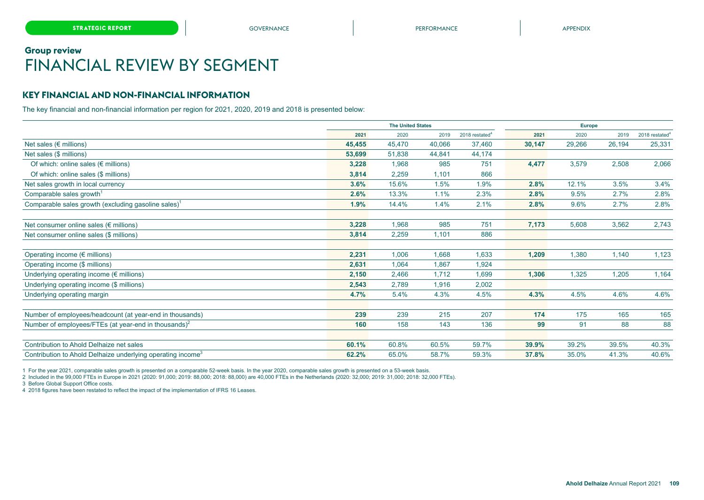# <span id="page-21-0"></span>**Group review** FINANCIAL REVIEW BY SEGMENT

### **KEY FINANCIAL AND NON-FINANCIAL INFORMATION**

The key financial and non-financial information per region for 2021, 2020, 2019 and 2018 is presented below:

|                                                                         |        | <b>The United States</b> |        |                            | Europe |        |        |                            |
|-------------------------------------------------------------------------|--------|--------------------------|--------|----------------------------|--------|--------|--------|----------------------------|
|                                                                         | 2021   | 2020                     | 2019   | 2018 restated <sup>4</sup> | 2021   | 2020   | 2019   | 2018 restated <sup>4</sup> |
| Net sales ( $\notin$ millions)                                          | 45,455 | 45.470                   | 40.066 | 37,460                     | 30,147 | 29,266 | 26,194 | 25,331                     |
| Net sales (\$ millions)                                                 | 53,699 | 51,838                   | 44,841 | 44,174                     |        |        |        |                            |
| Of which: online sales ( $\notin$ millions)                             | 3,228  | 1,968                    | 985    | 751                        | 4,477  | 3,579  | 2,508  | 2,066                      |
| Of which: online sales (\$ millions)                                    | 3,814  | 2,259                    | 1,101  | 866                        |        |        |        |                            |
| Net sales growth in local currency                                      | 3.6%   | 15.6%                    | 1.5%   | 1.9%                       | 2.8%   | 12.1%  | 3.5%   | 3.4%                       |
| Comparable sales growth <sup>1</sup>                                    | 2.6%   | 13.3%                    | 1.1%   | 2.3%                       | 2.8%   | 9.5%   | 2.7%   | 2.8%                       |
| Comparable sales growth (excluding gasoline sales) <sup>1</sup>         | 1.9%   | 14.4%                    | 1.4%   | 2.1%                       | 2.8%   | 9.6%   | 2.7%   | 2.8%                       |
| Net consumer online sales ( $\notin$ millions)                          | 3,228  | 1,968                    | 985    | 751                        | 7,173  | 5,608  | 3,562  | 2,743                      |
| Net consumer online sales (\$ millions)                                 | 3,814  | 2,259                    | 1,101  | 886                        |        |        |        |                            |
| Operating income ( $\epsilon$ millions)                                 | 2,231  | 1,006                    | 1,668  | 1,633                      | 1,209  | 1,380  | 1,140  | 1,123                      |
| Operating income (\$ millions)                                          | 2,631  | 1,064                    | 1,867  | 1,924                      |        |        |        |                            |
| Underlying operating income ( $\notin$ millions)                        | 2,150  | 2,466                    | 1,712  | 1,699                      | 1,306  | 1,325  | 1,205  | 1,164                      |
| Underlying operating income (\$ millions)                               | 2,543  | 2,789                    | 1,916  | 2,002                      |        |        |        |                            |
| Underlying operating margin                                             | 4.7%   | 5.4%                     | 4.3%   | 4.5%                       | 4.3%   | 4.5%   | 4.6%   | 4.6%                       |
| Number of employees/headcount (at year-end in thousands)                | 239    | 239                      | 215    | 207                        | 174    | 175    | 165    | 165                        |
| Number of employees/FTEs (at year-end in thousands) <sup>2</sup>        | 160    | 158                      | 143    | 136                        | 99     | 91     | 88     | 88                         |
|                                                                         |        |                          |        |                            |        |        |        |                            |
| Contribution to Ahold Delhaize net sales                                | 60.1%  | 60.8%                    | 60.5%  | 59.7%                      | 39.9%  | 39.2%  | 39.5%  | 40.3%                      |
| Contribution to Ahold Delhaize underlying operating income <sup>3</sup> | 62.2%  | 65.0%                    | 58.7%  | 59.3%                      | 37.8%  | 35.0%  | 41.3%  | 40.6%                      |

1 For the year 2021, comparable sales growth is presented on a comparable 52-week basis. In the year 2020, comparable sales growth is presented on a 53-week basis.

2 Included in the 99,000 FTEs in Europe in 2021 (2020: 91,000; 2019: 88,000; 2018: 88,000) are 40,000 FTEs in the Netherlands (2020: 32,000; 2019: 31,000; 2018: 32,000 FTEs).

3 Before Global Support Office costs.

4 2018 figures have been restated to reflect the impact of the implementation of IFRS 16 Leases.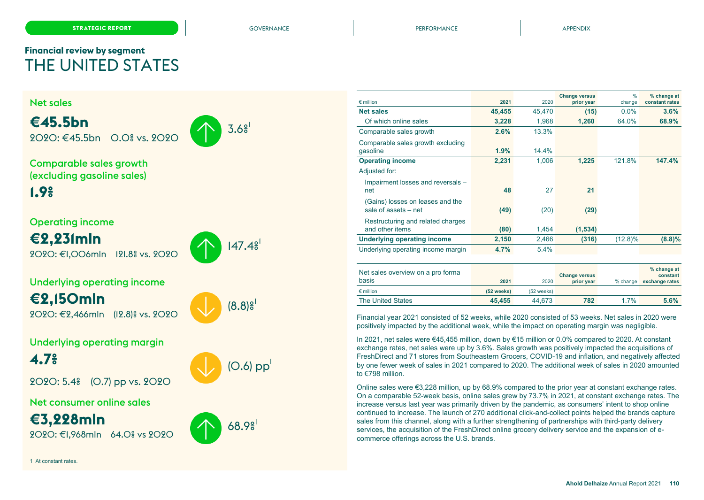# <span id="page-22-0"></span>**Financial review by segment** THE UNITED STATES

1 At constant rates.



| $\epsilon$ million                                       | 2021    | 2020   | <b>Change versus</b><br>prior year | $\frac{0}{0}$<br>change | % change at<br>constant rates |
|----------------------------------------------------------|---------|--------|------------------------------------|-------------------------|-------------------------------|
| <b>Net sales</b>                                         | 45,455  | 45,470 | (15)                               | 0.0%                    | 3.6%                          |
| Of which online sales                                    | 3,228   | 1,968  | 1,260                              | 64.0%                   | 68.9%                         |
| Comparable sales growth                                  | 2.6%    | 13.3%  |                                    |                         |                               |
| Comparable sales growth excluding<br>qasoline            | 1.9%    | 14.4%  |                                    |                         |                               |
| <b>Operating income</b>                                  | 2,231   | 1,006  | 1,225                              | 121.8%                  | 147.4%                        |
| Adjusted for:                                            |         |        |                                    |                         |                               |
| Impairment losses and reversals -<br>net                 | 48      | 27     | 21                                 |                         |                               |
| (Gains) losses on leases and the<br>sale of assets - net | (49)    | (20)   | (29)                               |                         |                               |
| Restructuring and related charges<br>and other items     | (80)    | 1,454  | (1,534)                            |                         |                               |
| <b>Underlying operating income</b>                       | 2,150   | 2,466  | (316)                              | $(12.8)\%$              | (8.8)%                        |
| Underlying operating income margin                       | $4.7\%$ | 5.4%   |                                    |                         |                               |
|                                                          |         |        |                                    |                         |                               |

| Net sales overview on a pro forma<br>basis | 2021         | 2020         | <b>Change versus</b><br>prior year | % change | % change at<br>constant<br>exchange rates |
|--------------------------------------------|--------------|--------------|------------------------------------|----------|-------------------------------------------|
| $\epsilon$ million                         | $(52$ weeks) | $(52$ weeks) |                                    |          |                                           |
| The United States                          | 45.455       | 44.673       | 782                                | 1.7%     | 5.6%                                      |

Financial year 2021 consisted of 52 weeks, while 2020 consisted of 53 weeks. Net sales in 2020 were positively impacted by the additional week, while the impact on operating margin was negligible.

In 2021, net sales were €45,455 million, down by €15 million or 0.0% compared to 2020. At constant exchange rates, net sales were up by 3.6%. Sales growth was positively impacted the acquisitions of FreshDirect and 71 stores from Southeastern Grocers, COVID-19 and inflation, and negatively affected by one fewer week of sales in 2021 compared to 2020. The additional week of sales in 2020 amounted to €798 million.

Online sales were €3,228 million, up by 68.9% compared to the prior year at constant exchange rates. On a comparable 52-week basis, online sales grew by 73.7% in 2021, at constant exchange rates. The increase versus last year was primarily driven by the pandemic, as consumers' intent to shop online continued to increase. The launch of 270 additional click-and-collect points helped the brands capture sales from this channel, along with a further strengthening of partnerships with third-party delivery services, the acquisition of the FreshDirect online grocery delivery service and the expansion of ecommerce offerings across the U.S. brands.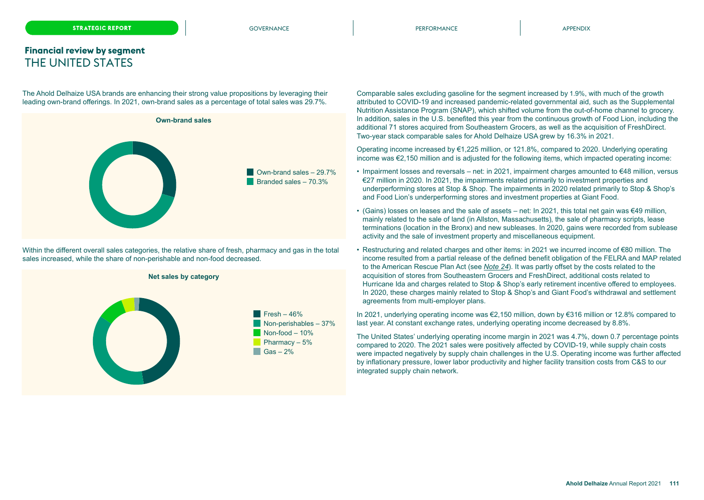### **Financial review by segment** THE UNITED STATES

The Ahold Delhaize USA brands are enhancing their strong value propositions by leveraging their leading own-brand offerings. In 2021, own-brand sales as a percentage of total sales was 29.7%.



Within the different overall sales categories, the relative share of fresh, pharmacy and gas in the total sales increased, while the share of non-perishable and non-food decreased.



Comparable sales excluding gasoline for the segment increased by 1.9%, with much of the growth attributed to COVID-19 and increased pandemic-related governmental aid, such as the Supplemental Nutrition Assistance Program (SNAP), which shifted volume from the out-of-home channel to grocery. In addition, sales in the U.S. benefited this year from the continuous growth of Food Lion, including the additional 71 stores acquired from Southeastern Grocers, as well as the acquisition of FreshDirect. Two-year stack comparable sales for Ahold Delhaize USA grew by 16.3% in 2021.

Operating income increased by €1,225 million, or 121.8%, compared to 2020. Underlying operating income was €2,150 million and is adjusted for the following items, which impacted operating income:

- Impairment losses and reversals net: in 2021, impairment charges amounted to €48 million, versus €27 million in 2020. In 2021, the impairments related primarily to investment properties and underperforming stores at Stop & Shop. The impairments in 2020 related primarily to Stop & Shop's and Food Lion's underperforming stores and investment properties at Giant Food.
- (Gains) losses on leases and the sale of assets net: In 2021, this total net gain was €49 million, mainly related to the sale of land (in Allston, Massachusetts), the sale of pharmacy scripts, lease terminations (location in the Bronx) and new subleases. In 2020, gains were recorded from sublease activity and the sale of investment property and miscellaneous equipment.
- Restructuring and related charges and other items: in 2021 we incurred income of €80 million. The income resulted from a partial release of the defined benefit obligation of the FELRA and MAP related to the American Rescue Plan Act (see *Note 24*). It was partly offset by the costs related to the acquisition of stores from Southeastern Grocers and FreshDirect, additional costs related to Hurricane Ida and charges related to Stop & Shop's early retirement incentive offered to employees. In 2020, these charges mainly related to Stop & Shop's and Giant Food's withdrawal and settlement agreements from multi-employer plans.

In 2021, underlying operating income was €2,150 million, down by €316 million or 12.8% compared to last year. At constant exchange rates, underlying operating income decreased by 8.8%.

The United States' underlying operating income margin in 2021 was 4.7%, down 0.7 percentage points compared to 2020. The 2021 sales were positively affected by COVID-19, while supply chain costs were impacted negatively by supply chain challenges in the U.S. Operating income was further affected by inflationary pressure, lower labor productivity and higher facility transition costs from C&S to our integrated supply chain network.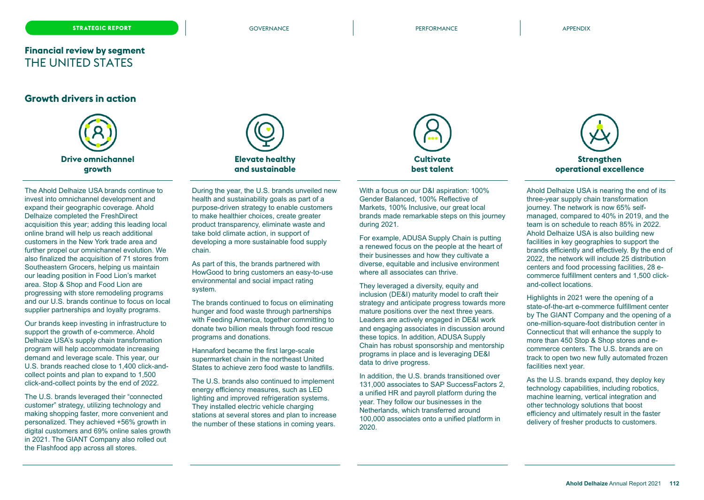### **Financial review by segment** THE UNITED STATES

### **Growth drivers in action**



The Ahold Delhaize USA brands continue to invest into omnichannel development and expand their geographic coverage. Ahold Delhaize completed the FreshDirect acquisition this year; adding this leading local online brand will help us reach additional customers in the New York trade area and further propel our omnichannel evolution. We also finalized the acquisition of 71 stores from Southeastern Grocers, helping us maintain our leading position in Food Lion's market area. Stop & Shop and Food Lion are progressing with store remodeling programs and our U.S. brands continue to focus on local supplier partnerships and loyalty programs.

Our brands keep investing in infrastructure to support the growth of e-commerce. Ahold Delhaize USA's supply chain transformation program will help accommodate increasing demand and leverage scale. This year, our U.S. brands reached close to 1,400 click-andcollect points and plan to expand to 1,500 click-and-collect points by the end of 2022.

The U.S. brands leveraged their "connected customer" strategy, utilizing technology and making shopping faster, more convenient and personalized. They achieved +56% growth in digital customers and 69% online sales growth in 2021. The GIANT Company also rolled out the Flashfood app across all stores.



During the year, the U.S. brands unveiled new health and sustainability goals as part of a purpose-driven strategy to enable customers to make healthier choices, create greater product transparency, eliminate waste and take bold climate action, in support of developing a more sustainable food supply chain.

As part of this, the brands partnered with HowGood to bring customers an easy-to-use environmental and social impact rating system.

The brands continued to focus on eliminating hunger and food waste through partnerships with Feeding America, together committing to donate two billion meals through food rescue programs and donations.

Hannaford became the first large-scale supermarket chain in the northeast United States to achieve zero food waste to landfills.

The U.S. brands also continued to implement energy efficiency measures, such as LED lighting and improved refrigeration systems. They installed electric vehicle charging stations at several stores and plan to increase the number of these stations in coming years.



With a focus on our D&I aspiration: 100% Gender Balanced, 100% Reflective of Markets, 100% Inclusive, our great local brands made remarkable steps on this journey during 2021.

For example, ADUSA Supply Chain is putting a renewed focus on the people at the heart of their businesses and how they cultivate a diverse, equitable and inclusive environment where all associates can thrive.

They leveraged a diversity, equity and inclusion (DE&I) maturity model to craft their strategy and anticipate progress towards more mature positions over the next three years. Leaders are actively engaged in DE&I work and engaging associates in discussion around these topics. In addition, ADUSA Supply Chain has robust sponsorship and mentorship programs in place and is leveraging DE&I data to drive progress.

In addition, the U.S. brands transitioned over 131,000 associates to SAP SuccessFactors 2, a unified HR and payroll platform during the year. They follow our businesses in the Netherlands, which transferred around 100,000 associates onto a unified platform in 2020.



Ahold Delhaize USA is nearing the end of its three-year supply chain transformation journey. The network is now 65% selfmanaged, compared to 40% in 2019, and the team is on schedule to reach 85% in 2022. Ahold Delhaize USA is also building new facilities in key geographies to support the brands efficiently and effectively. By the end of 2022, the network will include 25 distribution centers and food processing facilities, 28 ecommerce fulfillment centers and 1,500 clickand-collect locations.

Highlights in 2021 were the opening of a state-of-the-art e-commerce fulfillment center by The GIANT Company and the opening of a one-million-square-foot distribution center in Connecticut that will enhance the supply to more than 450 Stop & Shop stores and ecommerce centers. The U.S. brands are on track to open two new fully automated frozen facilities next year.

As the U.S. brands expand, they deploy key technology capabilities, including robotics, machine learning, vertical integration and other technology solutions that boost efficiency and ultimately result in the faster delivery of fresher products to customers.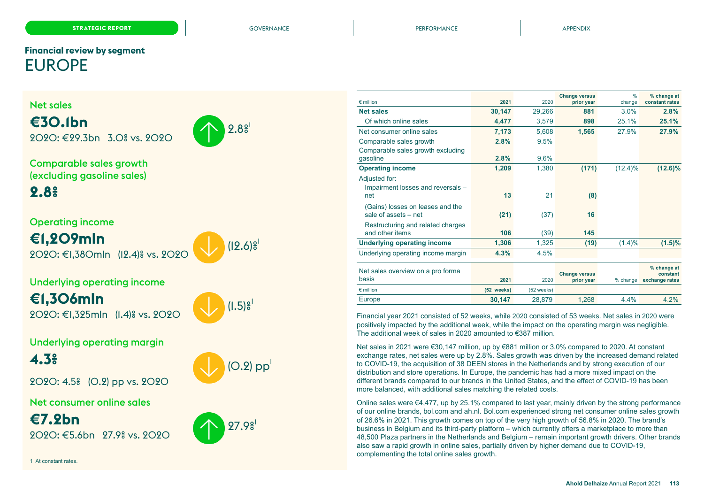# <span id="page-25-0"></span>**Financial review by segment** EUROPE

### Net sales **€30.1bn** 2020: €29.3bn 3.0% vs. 2020  $9.8<sup>9</sup>$ Comparable sales growth (excluding gasoline sales) **2.8%** Operating income **€1,209mln** 2020: €1,380mln (12.4)% vs. 2020  $(12.6)$ <sup>s</sup> Underlying operating income **€1,306mln** 2020: €1,325mln (1.4)% vs. 2020  $(1.5)$  $\frac{8}{1}$ Underlying operating margin **4.3%** 2020: 4.5% (0.2) pp vs. 2020  $(O.2)$  pp Net consumer online sales **€7.2bn** 2020: €5.6bn 27.9% vs. 2020  $27.9<sup>9</sup>$ 1 At constant rates. Comparable sales growth excluding Adjusted for: Impairment losses and reversals – (Gains) losses on leases and the Restructuring and related charges Net sales overview on a pro forma

|                                    |            |            |                                    | %          |                               |
|------------------------------------|------------|------------|------------------------------------|------------|-------------------------------|
| $\epsilon$ million                 | 2021       | 2020       | <b>Change versus</b><br>prior year | change     | % change at<br>constant rates |
| <b>Net sales</b>                   | 30,147     | 29,266     | 881                                | 3.0%       | 2.8%                          |
| Of which online sales              | 4,477      | 3,579      | 898                                | 25.1%      | 25.1%                         |
| Net consumer online sales          | 7,173      | 5.608      | 1,565                              | 27.9%      | 27.9%                         |
| Comparable sales growth            | 2.8%       | 9.5%       |                                    |            |                               |
| Comparable sales growth excluding  |            |            |                                    |            |                               |
| gasoline                           | 2.8%       | 9.6%       |                                    |            |                               |
| <b>Operating income</b>            | 1,209      | 1,380      | (171)                              | $(12.4)\%$ | $(12.6)\%$                    |
| Adjusted for:                      |            |            |                                    |            |                               |
| Impairment losses and reversals -  |            |            |                                    |            |                               |
| net                                | 13         | 21         | (8)                                |            |                               |
| (Gains) losses on leases and the   |            |            |                                    |            |                               |
| sale of assets - net               | (21)       | (37)       | 16                                 |            |                               |
| Restructuring and related charges  |            |            |                                    |            |                               |
| and other items                    | 106        | (39)       | 145                                |            |                               |
| <b>Underlying operating income</b> | 1,306      | 1,325      | (19)                               | (1.4)%     | $(1.5)\%$                     |
| Underlying operating income margin | 4.3%       | 4.5%       |                                    |            |                               |
| Net sales overview on a pro forma  |            |            |                                    |            | % change at                   |
| basis                              | 2021       | 2020       | <b>Change versus</b><br>prior year | % change   | constant<br>exchange rates    |
| $\epsilon$ million                 | (52 weeks) | (52 weeks) |                                    |            |                               |
|                                    |            |            |                                    |            |                               |
| Europe                             | 30,147     | 28.879     | 1.268                              | 4.4%       | 4.2%                          |

Financial year 2021 consisted of 52 weeks, while 2020 consisted of 53 weeks. Net sales in 2020 were positively impacted by the additional week, while the impact on the operating margin was negligible. The additional week of sales in 2020 amounted to €387 million.

Net sales in 2021 were €30,147 million, up by €881 million or 3.0% compared to 2020. At constant exchange rates, net sales were up by 2.8%. Sales growth was driven by the increased demand related to COVID-19, the acquisition of 38 DEEN stores in the Netherlands and by strong execution of our distribution and store operations. In Europe, the pandemic has had a more mixed impact on the different brands compared to our brands in the United States, and the effect of COVID-19 has been more balanced, with additional sales matching the related costs.

Online sales were  $\epsilon$ 4,477, up by 25.1% compared to last year, mainly driven by the strong performance of our online brands, bol.com and ah.nl. Bol.com experienced strong net consumer online sales growth of 26.6% in 2021. This growth comes on top of the very high growth of 56.8% in 2020. The brand's business in Belgium and its third-party platform – which currently offers a marketplace to more than 48,500 Plaza partners in the Netherlands and Belgium – remain important growth drivers. Other brands also saw a rapid growth in online sales, partially driven by higher demand due to COVID-19, complementing the total online sales growth.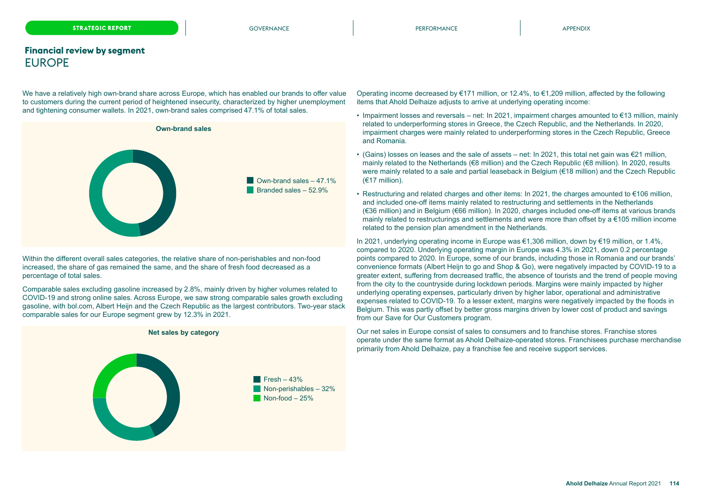### **Financial review by segment** EUROPE

We have a relatively high own-brand share across Europe, which has enabled our brands to offer value to customers during the current period of heightened insecurity, characterized by higher unemployment and tightening consumer wallets. In 2021, own-brand sales comprised 47.1% of total sales.



Within the different overall sales categories, the relative share of non-perishables and non-food increased, the share of gas remained the same, and the share of fresh food decreased as a percentage of total sales.

Comparable sales excluding gasoline increased by 2.8%, mainly driven by higher volumes related to COVID-19 and strong online sales. Across Europe, we saw strong comparable sales growth excluding gasoline, with bol.com, Albert Heijn and the Czech Republic as the largest contributors. Two-year stack comparable sales for our Europe segment grew by 12.3% in 2021.



Operating income decreased by €171 million, or 12.4%, to €1,209 million, affected by the following items that Ahold Delhaize adjusts to arrive at underlying operating income:

- Impairment losses and reversals net: In 2021, impairment charges amounted to €13 million, mainly related to underperforming stores in Greece, the Czech Republic, and the Netherlands. In 2020, impairment charges were mainly related to underperforming stores in the Czech Republic, Greece and Romania.
- (Gains) losses on leases and the sale of assets net: In 2021, this total net gain was  $\epsilon$ 21 million, mainly related to the Netherlands (€8 million) and the Czech Republic (€8 million). In 2020, results were mainly related to a sale and partial leaseback in Belgium (€18 million) and the Czech Republic (€17 million).
- Restructuring and related charges and other items: In 2021, the charges amounted to €106 million, and included one-off items mainly related to restructuring and settlements in the Netherlands (€36 million) and in Belgium (€66 million). In 2020, charges included one-off items at various brands mainly related to restructurings and settlements and were more than offset by  $a \in 105$  million income related to the pension plan amendment in the Netherlands.

In 2021, underlying operating income in Europe was €1,306 million, down by €19 million, or 1.4%, compared to 2020. Underlying operating margin in Europe was 4.3% in 2021, down 0.2 percentage points compared to 2020. In Europe, some of our brands, including those in Romania and our brands' convenience formats (Albert Heijn to go and Shop & Go), were negatively impacted by COVID-19 to a greater extent, suffering from decreased traffic, the absence of tourists and the trend of people moving from the city to the countryside during lockdown periods. Margins were mainly impacted by higher underlying operating expenses, particularly driven by higher labor, operational and administrative expenses related to COVID-19. To a lesser extent, margins were negatively impacted by the floods in Belgium. This was partly offset by better gross margins driven by lower cost of product and savings from our Save for Our Customers program.

Our net sales in Europe consist of sales to consumers and to franchise stores. Franchise stores operate under the same format as Ahold Delhaize-operated stores. Franchisees purchase merchandise primarily from Ahold Delhaize, pay a franchise fee and receive support services.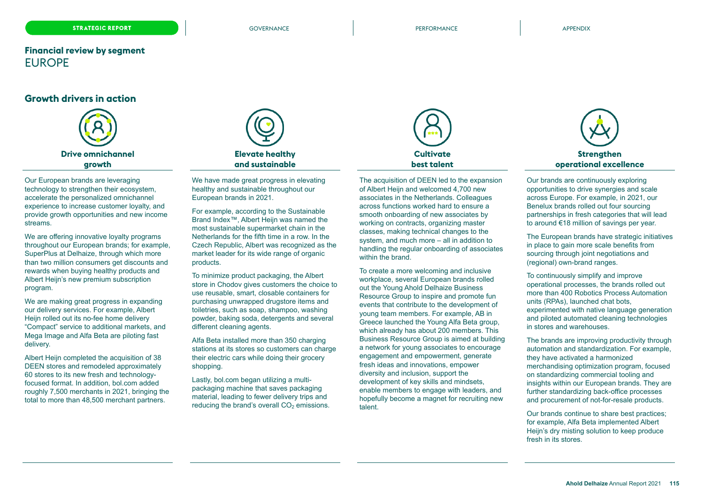### **Financial review by segment** EUROPE

### **Growth drivers in action**



Our European brands are leveraging technology to strengthen their ecosystem, accelerate the personalized omnichannel experience to increase customer loyalty, and provide growth opportunities and new income streams.

We are offering innovative loyalty programs throughout our European brands; for example, SuperPlus at Delhaize, through which more than two million consumers get discounts and rewards when buying healthy products and Albert Heijn's new premium subscription program.

We are making great progress in expanding our delivery services. For example, Albert Heijn rolled out its no-fee home delivery "Compact" service to additional markets, and Mega Image and Alfa Beta are piloting fast delivery.

Albert Heijn completed the acquisition of 38 DEEN stores and remodeled approximately 60 stores to its new fresh and technologyfocused format. In addition, bol.com added roughly 7,500 merchants in 2021, bringing the total to more than 48,500 merchant partners.



We have made great progress in elevating healthy and sustainable throughout our European brands in 2021.

For example, according to the Sustainable Brand Index™, Albert Heijn was named the most sustainable supermarket chain in the Netherlands for the fifth time in a row. In the Czech Republic, Albert was recognized as the market leader for its wide range of organic products.

To minimize product packaging, the Albert store in Chodov gives customers the choice to use reusable, smart, closable containers for purchasing unwrapped drugstore items and toiletries, such as soap, shampoo, washing powder, baking soda, detergents and several different cleaning agents.

Alfa Beta installed more than 350 charging stations at its stores so customers can charge their electric cars while doing their grocery shopping.

Lastly, bol.com began utilizing a multipackaging machine that saves packaging material, leading to fewer delivery trips and reducing the brand's overall  $CO<sub>2</sub>$  emissions.



The acquisition of DEEN led to the expansion of Albert Heijn and welcomed 4,700 new associates in the Netherlands. Colleagues across functions worked hard to ensure a smooth onboarding of new associates by working on contracts, organizing master classes, making technical changes to the system, and much more – all in addition to handling the regular onboarding of associates within the brand.

To create a more welcoming and inclusive workplace, several European brands rolled out the Young Ahold Delhaize Business Resource Group to inspire and promote fun events that contribute to the development of young team members. For example, AB in Greece launched the Young Alfa Beta group, which already has about 200 members. This Business Resource Group is aimed at building a network for young associates to encourage engagement and empowerment, generate fresh ideas and innovations, empower diversity and inclusion, support the development of key skills and mindsets, enable members to engage with leaders, and hopefully become a magnet for recruiting new talent.



Our brands are continuously exploring opportunities to drive synergies and scale across Europe. For example, in 2021, our Benelux brands rolled out four sourcing partnerships in fresh categories that will lead to around €18 million of savings per year.

The European brands have strategic initiatives in place to gain more scale benefits from sourcing through joint negotiations and (regional) own-brand ranges.

To continuously simplify and improve operational processes, the brands rolled out more than 400 Robotics Process Automation units (RPAs), launched chat bots, experimented with native language generation and piloted automated cleaning technologies in stores and warehouses.

The brands are improving productivity through automation and standardization. For example, they have activated a harmonized merchandising optimization program, focused on standardizing commercial tooling and insights within our European brands. They are further standardizing back-office processes and procurement of not-for-resale products.

Our brands continue to share best practices; for example, Alfa Beta implemented Albert Heijn's dry misting solution to keep produce fresh in its stores.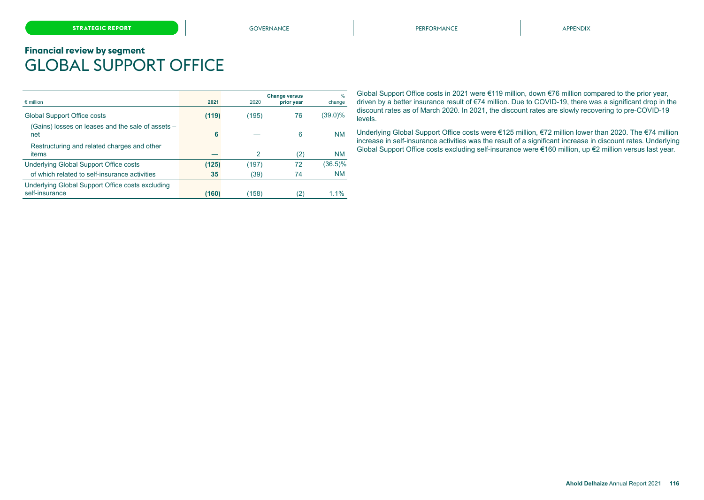# <span id="page-28-0"></span>**Financial review by segment** GLOBAL SUPPORT OFFICE

| $\epsilon$ million                                                 | 2021  | 2020  | <b>Change versus</b><br>prior year | $\frac{0}{0}$<br>change |
|--------------------------------------------------------------------|-------|-------|------------------------------------|-------------------------|
| <b>Global Support Office costs</b>                                 | (119) | (195) | 76                                 | (39.0)%                 |
| (Gains) losses on leases and the sale of assets -<br>net           | 6     |       | 6                                  | <b>NM</b>               |
| Restructuring and related charges and other<br>items               |       | 2     | (2)                                | <b>NM</b>               |
| Underlying Global Support Office costs                             | (125) | (197) | 72                                 | $(36.5)\%$              |
| of which related to self-insurance activities                      | 35    | (39)  | 74                                 | <b>NM</b>               |
| Underlying Global Support Office costs excluding<br>self-insurance | (160) | (158) | (2)                                | 1.1%                    |

Global Support Office costs in 2021 were €119 million, down €76 million compared to the prior year, driven by a better insurance result of €74 million. Due to COVID-19, there was a significant drop in the discount rates as of March 2020. In 2021, the discount rates are slowly recovering to pre-COVID-19 levels.

Underlying Global Support Office costs were €125 million, €72 million lower than 2020. The €74 million increase in self-insurance activities was the result of a significant increase in discount rates. Underlying Global Support Office costs excluding self-insurance were €160 million, up €2 million versus last year.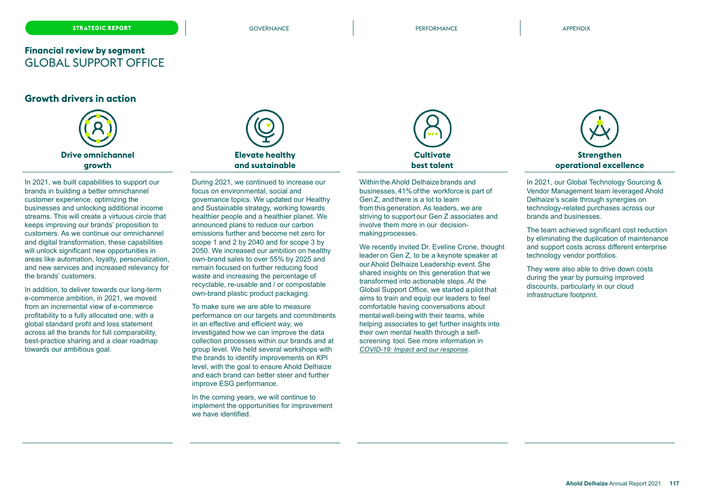### **Financial review by segment** GLOBAL SUPPORT OFFICE

### **Growth drivers in action**



In 2021, we built capabilities to support our brands in building a better omnichannel customer experience, optimizing the businesses and unlocking additional income streams. This will create a virtuous circle that keeps improving our brands' proposition to customers. As we continue our omnichannel and digital transformation, these capabilities will unlock significant new opportunities in areas like automation, loyalty, personalization, and new services and increased relevancy for the brands' customers.

In addition, to deliver towards our long-term e-commerce ambition, in 2021, we moved from an incremental view of e-commerce profitability to a fully allocated one, with a global standard profit and loss statement across all the brands for full comparability, best-practice sharing and a clear roadmap towards our ambitious goal.



During 2021, we continued to increase our focus on environmental, social and governance topics. We updated our Healthy and Sustainable strategy, working towards healthier people and a healthier planet. We announced plans to reduce our carbon emissions further and become net zero for scope 1 and 2 by 2040 and for scope 3 by 2050. We increased our ambition on healthy own-brand sales to over 55% by 2025 and remain focused on further reducing food waste and increasing the percentage of recyclable, re-usable and / or compostable own-brand plastic product packaging.

To make sure we are able to measure performance on our targets and commitments in an effective and efficient way, we investigated how we can improve the data collection processes within our brands and at group level. We held several workshops with the brands to identify improvements on KPI level, with the goal to ensure Ahold Delhaize and each brand can better steer and further improve ESG performance.

In the coming years, we will continue to implement the opportunities for improvement we have identified.



Within the Ahold Delhaize brands and businesses, 41%of the workforce is part of GenZ, and there is a lot to learn from this generation.As leaders, we are striving to support our Gen Z associates and involve them more in our decisionmaking processes.

We recently invited Dr. Eveline Crone, thought leader on Gen Z, to be a keynote speaker at ourAhold Delhaize Leadership event.She shared insights on this generation that we transformed into actionable steps. At the Global Support Office, we started a pilot that aims to train and equip our leaders to feel comfortable having conversations about mental well-being with their teams, while helping associates to get further insights into their own mental health through a selfscreening tool. See more information in *COVID-19: Impact and our response.* 



In 2021, our Global Technology Sourcing & Vendor Management team leveraged Ahold Delhaize's scale through synergies on technology-related purchases across our brands and businesses.

The team achieved significant cost reduction by eliminating the duplication of maintenance and support costs across different enterprise technology vendor portfolios.

They were also able to drive down costs during the year by pursuing improved discounts, particularly in our cloud infrastructure footprint.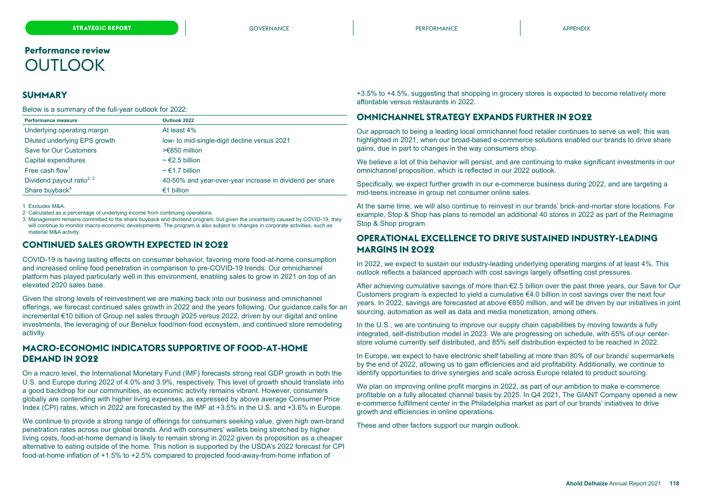# <span id="page-30-0"></span>**Performance review OUTLOOK**

### **SUMMARY**

Below is a summary of the full-year outlook for 2022:

| Performance measure                   | Outlook 2022                                             |
|---------------------------------------|----------------------------------------------------------|
| Underlying operating margin           | At least 4%                                              |
| Diluted underlying EPS growth         | low- to mid-single-digit decline versus 2021             |
| Save for Our Customers                | $>\epsilon$ 850 million                                  |
| Capital expenditures                  | $\sim$ $\in$ 2.5 billion                                 |
| Free cash flow <sup>1</sup>           | $\sim \epsilon$ 1.7 billion                              |
| Dividend payout ratio <sup>2, 3</sup> | 40-50% and year-over-year increase in dividend per share |
| Share buyback <sup>4</sup>            | €1 billion                                               |

1 Excludes M&A.

2 Calculated as a percentage of underlying income from continuing operations.

3 Management remains committed to the share buyback and dividend program, but given the uncertainty caused by COVID-19, they will continue to monitor macro-economic developments. The program is also subject to changes in corporate activities, such as material M&A activity.

### **CONTINUED SALES GROWTH EXPECTED IN 2022**

COVID-19 is having lasting effects on consumer behavior, favoring more food-at-home consumption and increased online food penetration in comparison to pre-COVID-19 trends. Our omnichannel platform has played particularly well in this environment, enabling sales to grow in 2021 on top of an elevated 2020 sales base.

Given the strong levels of reinvestment we are making back into our business and omnichannel offerings, we forecast continued sales growth in 2022 and the years following. Our guidance calls for an incremental €10 billion of Group net sales through 2025 versus 2022, driven by our digital and online investments, the leveraging of our Benelux food/non-food ecosystem, and continued store remodeling activity.

### **MACRO-ECONOMIC INDICATORS SUPPORTIVE OF FOOD-AT-HOME DEMAND IN 2022**

On a macro level, the International Monetary Fund (IMF) forecasts strong real GDP growth in both the U.S. and Europe during 2022 of 4.0% and 3.9%, respectively. This level of growth should translate into a good backdrop for our communities, as economic activity remains vibrant. However, consumers globally are contending with higher living expenses, as expressed by above average Consumer Price Index (CPI) rates, which in 2022 are forecasted by the IMF at +3.5% in the U.S. and +3.6% in Europe.

We continue to provide a strong range of offerings for consumers seeking value, given high own-brand penetration rates across our global brands. And with consumers' wallets being stretched by higher living costs, food-at-home demand is likely to remain strong in 2022 given its proposition as a cheaper alternative to eating outside of the home. This notion is supported by the USDA's 2022 forecast for CPI food-at-home inflation of +1.5% to +2.5% compared to projected food-away-from-home inflation of

+3.5% to +4.5%, suggesting that shopping in grocery stores is expected to become relatively more affordable versus restaurants in 2022.

### **OMNICHANNEL STRATEGY EXPANDS FURTHER IN 2022**

Our approach to being a leading local omnichannel food retailer continues to serve us well; this was highlighted in 2021, when our broad-based e-commerce solutions enabled our brands to drive share gains, due in part to changes in the way consumers shop.

We believe a lot of this behavior will persist, and are continuing to make significant investments in our omnichannel proposition, which is reflected in our 2022 outlook.

Specifically, we expect further growth in our e-commerce business during 2022, and are targeting a mid-teens increase in group net consumer online sales.

At the same time, we will also continue to reinvest in our brands' brick-and-mortar store locations. For example, Stop & Shop has plans to remodel an additional 40 stores in 2022 as part of the Reimagine Stop & Shop program.

### **OPERATIONAL EXCELLENCE TO DRIVE SUSTAINED INDUSTRY-LEADING MARGINS IN 2022**

In 2022, we expect to sustain our industry-leading underlying operating margins of at least 4%. This outlook reflects a balanced approach with cost savings largely offsetting cost pressures.

After achieving cumulative savings of more than €2.5 billion over the past three years, our Save for Our Customers program is expected to yield a cumulative  $64.0$  billion in cost savings over the next four years. In 2022, savings are forecasted at above €850 million, and will be driven by our initiatives in joint sourcing, automation as well as data and media monetization, among others.

In the U.S., we are continuing to improve our supply chain capabilities by moving towards a fully integrated, self-distribution model in 2023. We are progressing on schedule, with 65% of our centerstore volume currently self distributed, and 85% self distribution expected to be reached in 2022.

In Europe, we expect to have electronic shelf labelling at more than 80% of our brands' supermarkets by the end of 2022, allowing us to gain efficiencies and aid profitability. Additionally, we continue to identify opportunities to drive synergies and scale across Europe related to product sourcing.

We plan on improving online profit margins in 2022, as part of our ambition to make e-commerce profitable on a fully allocated channel basis by 2025. In Q4 2021, The GIANT Company opened a new e-commerce fulfillment center in the Philadelphia market as part of our brands' initiatives to drive growth and efficiencies in online operations.

These and other factors support our margin outlook.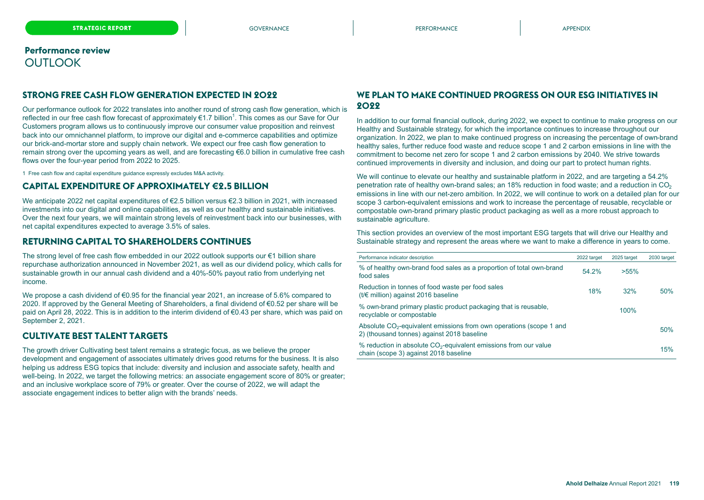### **Performance review OUTLOOK**

### **STRONG FREE CASH FLOW GENERATION EXPECTED IN 2022**

Our performance outlook for 2022 translates into another round of strong cash flow generation, which is reflected in our free cash flow forecast of approximately €1.7 billion<sup>1</sup>. This comes as our Save for Our Customers program allows us to continuously improve our consumer value proposition and reinvest back into our omnichannel platform, to improve our digital and e-commerce capabilities and optimize our brick-and-mortar store and supply chain network. We expect our free cash flow generation to remain strong over the upcoming years as well, and are forecasting €6.0 billion in cumulative free cash flows over the four-year period from 2022 to 2025.

1 Free cash flow and capital expenditure guidance expressly excludes M&A activity.

### **CAPITAL EXPENDITURE OF APPROXIMATELY €2.5 BILLION**

We anticipate 2022 net capital expenditures of €2.5 billion versus €2.3 billion in 2021, with increased investments into our digital and online capabilities, as well as our healthy and sustainable initiatives. Over the next four years, we will maintain strong levels of reinvestment back into our businesses, with net capital expenditures expected to average 3.5% of sales.

### **RETURNING CAPITAL TO SHAREHOLDERS CONTINUES**

The strong level of free cash flow embedded in our 2022 outlook supports our €1 billion share repurchase authorization announced in November 2021, as well as our dividend policy, which calls for sustainable growth in our annual cash dividend and a 40%-50% payout ratio from underlying net income.

We propose a cash dividend of €0.95 for the financial year 2021, an increase of 5.6% compared to 2020. If approved by the General Meeting of Shareholders, a final dividend of  $\epsilon$ 0.52 per share will be paid on April 28, 2022. This is in addition to the interim dividend of €0.43 per share, which was paid on September 2, 2021.

### **CULTIVATE BEST TALENT TARGETS**

The growth driver Cultivating best talent remains a strategic focus, as we believe the proper development and engagement of associates ultimately drives good returns for the business. It is also helping us address ESG topics that include: diversity and inclusion and associate safety, health and well-being. In 2022, we target the following metrics: an associate engagement score of 80% or greater; and an inclusive workplace score of 79% or greater. Over the course of 2022, we will adapt the associate engagement indices to better align with the brands' needs.

### **WE PLAN TO MAKE CONTINUED PROGRESS ON OUR ESG INITIATIVES IN 2022**

In addition to our formal financial outlook, during 2022, we expect to continue to make progress on our Healthy and Sustainable strategy, for which the importance continues to increase throughout our organization. In 2022, we plan to make continued progress on increasing the percentage of own-brand healthy sales, further reduce food waste and reduce scope 1 and 2 carbon emissions in line with the commitment to become net zero for scope 1 and 2 carbon emissions by 2040. We strive towards continued improvements in diversity and inclusion, and doing our part to protect human rights.

We will continue to elevate our healthy and sustainable platform in 2022, and are targeting a 54.2% penetration rate of healthy own-brand sales; an 18% reduction in food waste; and a reduction in CO<sub>2</sub> emissions in line with our net-zero ambition. In 2022, we will continue to work on a detailed plan for our scope 3 carbon-equivalent emissions and work to increase the percentage of reusable, recyclable or compostable own-brand primary plastic product packaging as well as a more robust approach to sustainable agriculture.

This section provides an overview of the most important ESG targets that will drive our Healthy and Sustainable strategy and represent the areas where we want to make a difference in years to come.

| Performance indicator description                                                                                             | 2022 target | 2025 target | 2030 target |
|-------------------------------------------------------------------------------------------------------------------------------|-------------|-------------|-------------|
| % of healthy own-brand food sales as a proportion of total own-brand<br>food sales                                            | 54.2%       | $>55\%$     |             |
| Reduction in tonnes of food waste per food sales<br>( $t/€$ million) against 2016 baseline                                    | 18%         | 32%         | 50%         |
| % own-brand primary plastic product packaging that is reusable,<br>recyclable or compostable                                  |             | 100%        |             |
| Absolute CO <sub>2</sub> -equivalent emissions from own operations (scope 1 and<br>2) (thousand tonnes) against 2018 baseline |             |             | 50%         |
| $%$ reduction in absolute $CO2$ -equivalent emissions from our value<br>chain (scope 3) against 2018 baseline                 |             |             | 15%         |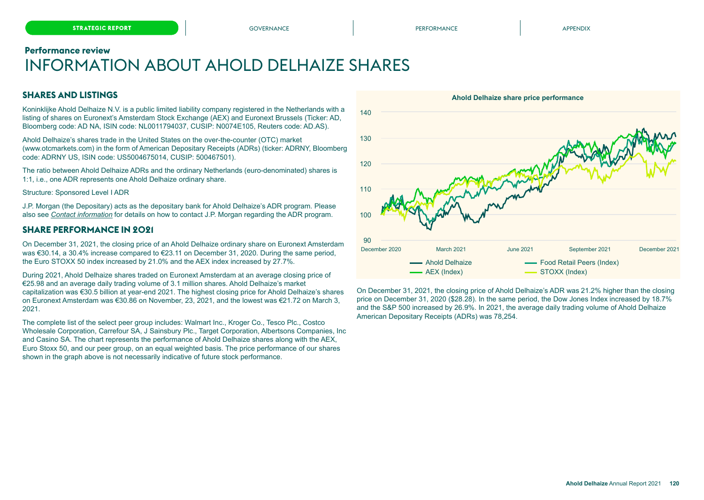#### <span id="page-32-0"></span>**Performance review**

# INFORMATION ABOUT AHOLD DELHAIZE SHARES

### **SHARES AND LISTINGS**

Koninklijke Ahold Delhaize N.V. is a public limited liability company registered in the Netherlands with a listing of shares on Euronext's Amsterdam Stock Exchange (AEX) and Euronext Brussels (Ticker: AD, Bloomberg code: AD NA, ISIN code: NL0011794037, CUSIP: N0074E105, Reuters code: AD.AS).

Ahold Delhaize's shares trade in the United States on the over-the-counter (OTC) market (www.otcmarkets.com) in the form of American Depositary Receipts (ADRs) (ticker: ADRNY, Bloomberg code: ADRNY US, ISIN code: US5004675014, CUSIP: 500467501).

The ratio between Ahold Delhaize ADRs and the ordinary Netherlands (euro-denominated) shares is 1:1, i.e., one ADR represents one Ahold Delhaize ordinary share.

#### Structure: Sponsored Level I ADR

J.P. Morgan (the Depositary) acts as the depositary bank for Ahold Delhaize's ADR program. Please also see *Contact information* for details on how to contact J.P. Morgan regarding the ADR program.

### **SHARE PERFORMANCE IN 2021**

On December 31, 2021, the closing price of an Ahold Delhaize ordinary share on Euronext Amsterdam was €30.14, a 30.4% increase compared to €23.11 on December 31, 2020. During the same period, the Euro STOXX 50 index increased by 21.0% and the AEX index increased by 27.7%.

During 2021, Ahold Delhaize shares traded on Euronext Amsterdam at an average closing price of €25.98 and an average daily trading volume of 3.1 million shares. Ahold Delhaize's market capitalization was €30.5 billion at year-end 2021. The highest closing price for Ahold Delhaize's shares on Euronext Amsterdam was €30.86 on November, 23, 2021, and the lowest was €21.72 on March 3, 2021.

The complete list of the select peer group includes: Walmart Inc., Kroger Co., Tesco Plc., Costco Wholesale Corporation, Carrefour SA, J Sainsbury Plc., Target Corporation, Albertsons Companies, Inc and Casino SA. The chart represents the performance of Ahold Delhaize shares along with the AEX, Euro Stoxx 50, and our peer group, on an equal weighted basis. The price performance of our shares shown in the graph above is not necessarily indicative of future stock performance.



On December 31, 2021, the closing price of Ahold Delhaize's ADR was 21.2% higher than the closing price on December 31, 2020 (\$28.28). In the same period, the Dow Jones Index increased by 18.7% and the S&P 500 increased by 26.9%. In 2021, the average daily trading volume of Ahold Delhaize American Depositary Receipts (ADRs) was 78,254.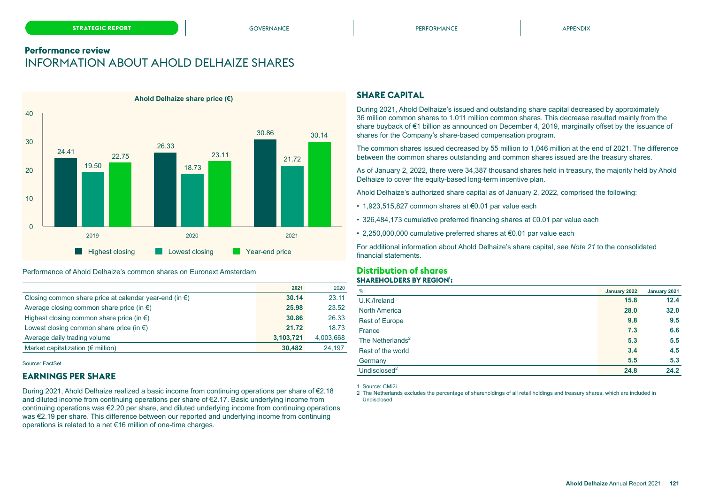### **Performance review** INFORMATION ABOUT AHOLD DELHAIZE SHARES



#### Performance of Ahold Delhaize's common shares on Euronext Amsterdam

|                                                                  | 2021      | 2020      |
|------------------------------------------------------------------|-----------|-----------|
| Closing common share price at calendar year-end (in $\epsilon$ ) | 30.14     | 23.11     |
| Average closing common share price (in $\epsilon$ )              | 25.98     | 23.52     |
| Highest closing common share price (in $\epsilon$ )              | 30.86     | 26.33     |
| Lowest closing common share price (in $\epsilon$ )               | 21.72     | 18.73     |
| Average daily trading volume                                     | 3,103,721 | 4,003,668 |
| Market capitalization ( $\notin$ million)                        | 30,482    | 24.197    |

Source: FactSet

### **EARNINGS PER SHARE**

During 2021, Ahold Delhaize realized a basic income from continuing operations per share of €2.18 and diluted income from continuing operations per share of €2.17. Basic underlying income from continuing operations was €2.20 per share, and diluted underlying income from continuing operations was €2.19 per share. This difference between our reported and underlying income from continuing operations is related to a net €16 million of one-time charges.

#### **SHARE CAPITAL**

During 2021, Ahold Delhaize's issued and outstanding share capital decreased by approximately 36 million common shares to 1,011 million common shares. This decrease resulted mainly from the share buyback of €1 billion as announced on December 4, 2019, marginally offset by the issuance of shares for the Company's share-based compensation program.

The common shares issued decreased by 55 million to 1,046 million at the end of 2021. The difference between the common shares outstanding and common shares issued are the treasury shares.

As of January 2, 2022, there were 34,387 thousand shares held in treasury, the majority held by Ahold Delhaize to cover the equity-based long-term incentive plan.

Ahold Delhaize's authorized share capital as of January 2, 2022, comprised the following:

- 1,923,515,827 common shares at €0.01 par value each
- 326,484,173 cumulative preferred financing shares at €0.01 par value each
- 2,250,000,000 cumulative preferred shares at €0.01 par value each

For additional information about Ahold Delhaize's share capital, see *Note 21* to the consolidated financial statements.

### **Distribution of shares SHAREHOLDERS BY REGION<sup>1</sup> :**

| $\%$                  | January 2022 | January 2021 |
|-----------------------|--------------|--------------|
| U.K./Ireland          | 15.8         | 12.4         |
| <b>North America</b>  | 28.0         | 32.0         |
| <b>Rest of Europe</b> | 9.8          | 9.5          |
| France                | 7.3          | 6.6          |
| The Netherlands $2$   | 5.3          | 5.5          |
| Rest of the world     | 3.4          | 4.5          |
| Germany               | 5.5          | 5.3          |
| Undisclosed $2$       | 24.8         | 24.2         |

1 Source: CMi2i.

2 The Netherlands excludes the percentage of shareholdings of all retail holdings and treasury shares, which are included in Undisclosed.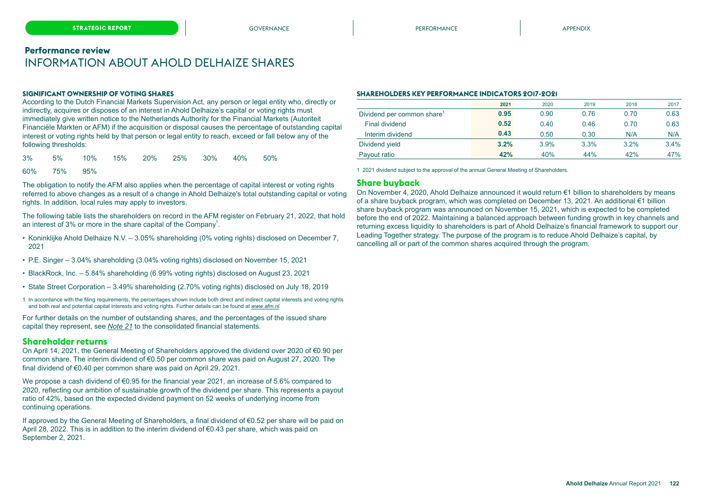### **Performance review** INFORMATION ABOUT AHOLD DELHAIZE SHARES

#### **SIGNIFICANT OWNERSHIP OF VOTING SHARES**

According to the Dutch Financial Markets Supervision Act, any person or legal entity who, directly or indirectly, acquires or disposes of an interest in Ahold Delhaize's capital or voting rights must immediately give written notice to the Netherlands Authority for the Financial Markets (Autoriteit Financiële Markten or AFM) if the acquisition or disposal causes the percentage of outstanding capital interest or voting rights held by that person or legal entity to reach, exceed or fall below any of the following thresholds:

3% 5% 10% 15% 20% 25% 30% 40% 50%

#### 60% 75% 95%

The obligation to notify the AFM also applies when the percentage of capital interest or voting rights referred to above changes as a result of a change in Ahold Delhaize's total outstanding capital or voting rights. In addition, local rules may apply to investors.

The following table lists the shareholders on record in the AFM register on February 21, 2022, that hold an interest of 3% or more in the share capital of the Company<sup>1</sup>.

- Koninklijke Ahold Delhaize N.V. 3.05% shareholding (0% voting rights) disclosed on December 7, 2021
- P.E. Singer 3.04% shareholding (3.04% voting rights) disclosed on November 15, 2021
- BlackRock, Inc. 5.84% shareholding (6.99% voting rights) disclosed on August 23, 2021
- State Street Corporation 3.49% shareholding (2.70% voting rights) disclosed on July 18, 2019
- 1 In accordance with the filing requirements, the percentages shown include both direct and indirect capital interests and voting rights and both real and potential capital interests and voting rights. Further details can be found at *[www.afm.nl](https://www.afm.nl/en/professionals/registers/meldingenregisters/substantiele-deelnemingen?KeyWords=ahold+delhaize&DateFrom=&DateTill=#results)*.

For further details on the number of outstanding shares, and the percentages of the issued share capital they represent, see *Note 21* to the consolidated financial statements.

#### **Shareholder returns**

On April 14, 2021, the General Meeting of Shareholders approved the dividend over 2020 of €0.90 per common share. The interim dividend of €0.50 per common share was paid on August 27, 2020. The final dividend of €0.40 per common share was paid on April 29, 2021.

We propose a cash dividend of €0.95 for the financial year 2021, an increase of 5.6% compared to 2020, reflecting our ambition of sustainable growth of the dividend per share. This represents a payout ratio of 42%, based on the expected dividend payment on 52 weeks of underlying income from continuing operations.

If approved by the General Meeting of Shareholders, a final dividend of €0.52 per share will be paid on April 28, 2022. This is in addition to the interim dividend of €0.43 per share, which was paid on September 2, 2021.

#### **SHAREHOLDERS KEY PERFORMANCE INDICATORS 2017-2021**

|                                        | 2021 | 2020 | 2019 | 2018 | 2017 |
|----------------------------------------|------|------|------|------|------|
| Dividend per common share <sup>1</sup> | 0.95 | 0.90 | 0.76 | 0.70 | 0.63 |
| <b>Final dividend</b>                  | 0.52 | 0.40 | 0.46 | 0.70 | 0.63 |
| Interim dividend                       | 0.43 | 0.50 | 0.30 | N/A  | N/A  |
| Dividend yield                         | 3.2% | 3.9% | 3.3% | 3.2% | 3.4% |
| Payout ratio                           | 42%  | 40%  | 44%  | 42%  | 47%  |

1 2021 dividend subject to the approval of the annual General Meeting of Shareholders.

#### **Share buyback**

On November 4, 2020, Ahold Delhaize announced it would return €1 billion to shareholders by means of a share buyback program, which was completed on December 13, 2021. An additional €1 billion share buyback program was announced on November 15, 2021, which is expected to be completed before the end of 2022. Maintaining a balanced approach between funding growth in key channels and returning excess liquidity to shareholders is part of Ahold Delhaize's financial framework to support our Leading Together strategy. The purpose of the program is to reduce Ahold Delhaize's capital, by cancelling all or part of the common shares acquired through the program.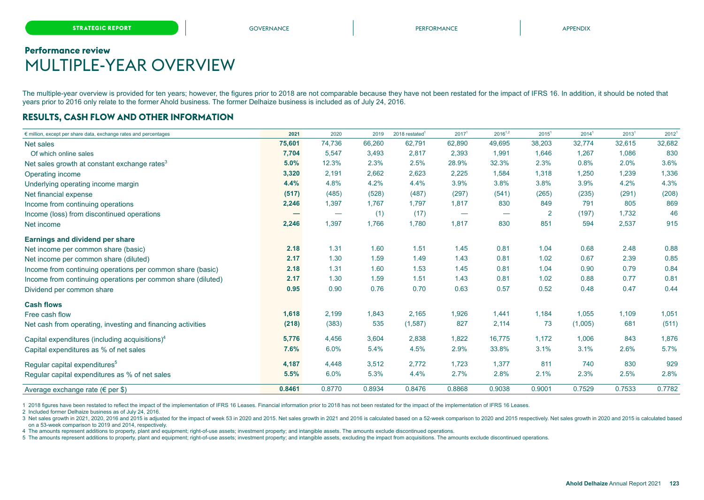# <span id="page-35-0"></span>**Performance review** MULTIPLE-YEAR OVERVIEW

The multiple-year overview is provided for ten years; however, the figures prior to 2018 are not comparable because they have not been restated for the impact of IFRS 16. In addition, it should be noted that years prior to 2016 only relate to the former Ahold business. The former Delhaize business is included as of July 24, 2016.

### **RESULTS, CASH FLOW AND OTHER INFORMATION**

| $\epsilon$ million, except per share data, exchange rates and percentages | 2021   | 2020   | 2019   | $2018$ restated <sup>1</sup> | 2017 <sup>1</sup> | $2016^{1,2}$             | 2015 <sup>1</sup> | 2014 <sup>1</sup> | 2013 <sup>1</sup> | 2012 <sup>1</sup> |
|---------------------------------------------------------------------------|--------|--------|--------|------------------------------|-------------------|--------------------------|-------------------|-------------------|-------------------|-------------------|
| Net sales                                                                 | 75,601 | 74,736 | 66,260 | 62,791                       | 62,890            | 49,695                   | 38,203            | 32,774            | 32,615            | 32,682            |
| Of which online sales                                                     | 7,704  | 5,547  | 3,493  | 2,817                        | 2,393             | 1,991                    | 1,646             | 1,267             | 1,086             | 830               |
| Net sales growth at constant exchange rates <sup>3</sup>                  | 5.0%   | 12.3%  | 2.3%   | 2.5%                         | 28.9%             | 32.3%                    | 2.3%              | 0.8%              | 2.0%              | 3.6%              |
| Operating income                                                          | 3,320  | 2,191  | 2,662  | 2,623                        | 2,225             | 1,584                    | 1,318             | 1,250             | 1,239             | 1,336             |
| Underlying operating income margin                                        | 4.4%   | 4.8%   | 4.2%   | 4.4%                         | 3.9%              | 3.8%                     | 3.8%              | 3.9%              | 4.2%              | 4.3%              |
| Net financial expense                                                     | (517)  | (485)  | (528)  | (487)                        | (297)             | (541)                    | (265)             | (235)             | (291)             | (208)             |
| Income from continuing operations                                         | 2,246  | 1,397  | 1,767  | 1,797                        | 1,817             | 830                      | 849               | 791               | 805               | 869               |
| Income (loss) from discontinued operations                                | -      |        | (1)    | (17)                         |                   | $\overline{\phantom{m}}$ | 2                 | (197)             | 1.732             | 46                |
| Net income                                                                | 2,246  | 1,397  | 1,766  | 1,780                        | 1,817             | 830                      | 851               | 594               | 2,537             | 915               |
| Earnings and dividend per share                                           |        |        |        |                              |                   |                          |                   |                   |                   |                   |
| Net income per common share (basic)                                       | 2.18   | 1.31   | 1.60   | 1.51                         | 1.45              | 0.81                     | 1.04              | 0.68              | 2.48              | 0.88              |
| Net income per common share (diluted)                                     | 2.17   | 1.30   | 1.59   | 1.49                         | 1.43              | 0.81                     | 1.02              | 0.67              | 2.39              | 0.85              |
| Income from continuing operations per common share (basic)                | 2.18   | 1.31   | 1.60   | 1.53                         | 1.45              | 0.81                     | 1.04              | 0.90              | 0.79              | 0.84              |
| Income from continuing operations per common share (diluted)              | 2.17   | 1.30   | 1.59   | 1.51                         | 1.43              | 0.81                     | 1.02              | 0.88              | 0.77              | 0.81              |
| Dividend per common share                                                 | 0.95   | 0.90   | 0.76   | 0.70                         | 0.63              | 0.57                     | 0.52              | 0.48              | 0.47              | 0.44              |
| <b>Cash flows</b>                                                         |        |        |        |                              |                   |                          |                   |                   |                   |                   |
| Free cash flow                                                            | 1,618  | 2,199  | 1,843  | 2,165                        | 1,926             | 1,441                    | 1,184             | 1,055             | 1,109             | 1,051             |
| Net cash from operating, investing and financing activities               | (218)  | (383)  | 535    | (1, 587)                     | 827               | 2,114                    | 73                | (1,005)           | 681               | (511)             |
| Capital expenditures (including acquisitions) $4$                         | 5,776  | 4,456  | 3,604  | 2,838                        | 1,822             | 16,775                   | 1,172             | 1,006             | 843               | 1,876             |
| Capital expenditures as % of net sales                                    | 7.6%   | 6.0%   | 5.4%   | 4.5%                         | 2.9%              | 33.8%                    | 3.1%              | 3.1%              | 2.6%              | 5.7%              |
| Regular capital expenditures <sup>5</sup>                                 | 4,187  | 4,448  | 3,512  | 2,772                        | 1,723             | 1,377                    | 811               | 740               | 830               | 929               |
| Regular capital expenditures as % of net sales                            | 5.5%   | 6.0%   | 5.3%   | 4.4%                         | 2.7%              | 2.8%                     | 2.1%              | 2.3%              | 2.5%              | 2.8%              |
| Average exchange rate ( $\epsilon$ per \$)                                | 0.8461 | 0.8770 | 0.8934 | 0.8476                       | 0.8868            | 0.9038                   | 0.9001            | 0.7529            | 0.7533            | 0.7782            |

1 2018 figures have been restated to reflect the impact of the implementation of IFRS 16 Leases. Financial information prior to 2018 has not been restated for the impact of the implementation of IFRS 16 Leases.

2 Included former Delhaize business as of July 24, 2016.

3 Net sales growth in 2021, 2020, 2016 and 2015 is adjusted for the impact of week 53 in 2020 and 2015. Net sales growth in 2021 and 2016 is calculated based on a 52-week comparison to 2020 and 2015 respectively. Net sales on a 53-week comparison to 2019 and 2014, respectively.

4 The amounts represent additions to property, plant and equipment; right-of-use assets; investment property; and intangible assets. The amounts exclude discontinued operations.

5 The amounts represent additions to property, plant and equipment; right-of-use assets; investment property; and intangible assets, excluding the impact from acquisitions. The amounts exclude discontinued operations.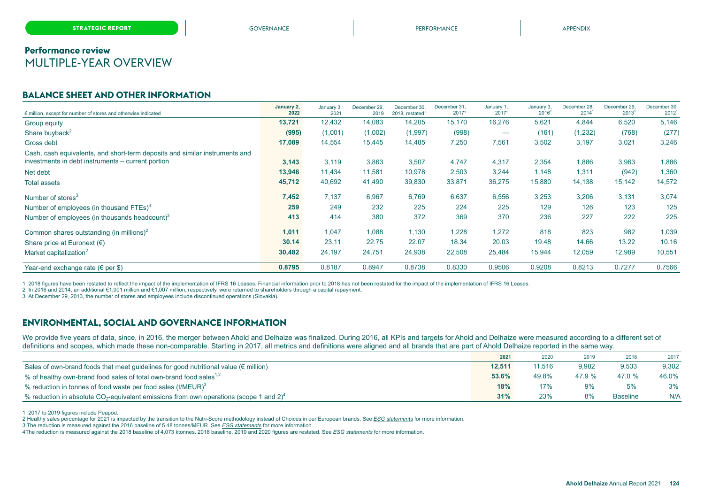### **Performance review** MULTIPLE-YEAR OVERVIEW

### **BALANCE SHEET AND OTHER INFORMATION**

| $\epsilon$ million, except for number of stores and otherwise indicated                                                          | January 2,<br>2022 | January 3,<br>2021 | December 29.<br>2019 | December 30,<br>2018, restated <sup>1</sup> | December 31,<br>20171 | January 1,<br>20171 | January 3,<br>$2016^1$ | December 28,<br>2014 | December 29,<br>$2013$ <sup>1</sup> | December 30,<br>2012 |
|----------------------------------------------------------------------------------------------------------------------------------|--------------------|--------------------|----------------------|---------------------------------------------|-----------------------|---------------------|------------------------|----------------------|-------------------------------------|----------------------|
| Group equity                                                                                                                     | 13,721             | 12,432             | 14,083               | 14,205                                      | 15,170                | 16,276              | 5,621                  | 4,844                | 6,520                               | 5,146                |
| Share buyback <sup>2</sup>                                                                                                       | (995)              | (1,001)            | (1,002)              | (1,997)                                     | (998)                 |                     | (161)                  | (1,232)              | (768)                               | (277)                |
| Gross debt                                                                                                                       | 17,089             | 14,554             | 15,445               | 14,485                                      | 7,250                 | 7,561               | 3,502                  | 3,197                | 3,021                               | 3,246                |
| Cash, cash equivalents, and short-term deposits and similar instruments and<br>investments in debt instruments – current portion | 3,143              | 3,119              | 3,863                | 3,507                                       | 4,747                 | 4,317               | 2,354                  | 1,886                | 3,963                               | 1,886                |
| Net debt                                                                                                                         | 13,946             | 11,434             | 11,581               | 10,978                                      | 2,503                 | 3,244               | 1,148                  | 1,311                | (942)                               | 1,360                |
| Total assets                                                                                                                     | 45,712             | 40,692             | 41,490               | 39,830                                      | 33,871                | 36,275              | 15,880                 | 14,138               | 15,142                              | 14,572               |
| Number of stores <sup>3</sup>                                                                                                    | 7,452              | 7,137              | 6,967                | 6,769                                       | 6,637                 | 6,556               | 3,253                  | 3,206                | 3,131                               | 3,074                |
| Number of employees (in thousand FTEs) $3$                                                                                       | 259                | 249                | 232                  | 225                                         | 224                   | 225                 | 129                    | 126                  | 123                                 | 125                  |
| Number of employees (in thousands headcount) <sup>3</sup>                                                                        | 413                | 414                | 380                  | 372                                         | 369                   | 370                 | 236                    | 227                  | 222                                 | 225                  |
| Common shares outstanding (in millions) <sup>2</sup>                                                                             | 1,011              | 1,047              | 1,088                | 1,130                                       | 1,228                 | 1,272               | 818                    | 823                  | 982                                 | 1,039                |
| Share price at Euronext $(\epsilon)$                                                                                             | 30.14              | 23.11              | 22.75                | 22.07                                       | 18.34                 | 20.03               | 19.48                  | 14.66                | 13.22                               | 10.16                |
| Market capitalization <sup>2</sup>                                                                                               | 30,482             | 24,197             | 24,751               | 24,938                                      | 22,508                | 25,484              | 15,944                 | 12,059               | 12,989                              | 10,551               |
| Year-end exchange rate ( $\epsilon$ per \$)                                                                                      | 0.8795             | 0.8187             | 0.8947               | 0.8738                                      | 0.8330                | 0.9506              | 0.9208                 | 0.8213               | 0.7277                              | 0.7566               |

1 2018 figures have been restated to reflect the impact of the implementation of IFRS 16 Leases. Financial information prior to 2018 has not been restated for the impact of the implementation of IFRS 16 Leases.

2 In 2016 and 2014, an additional €1,001 million and €1,007 million, respectively, were returned to shareholders through a capital repayment.

3 At December 29, 2013, the number of stores and employees include discontinued operations (Slovakia).

### **ENVIRONMENTAL, SOCIAL AND GOVERNANCE INFORMATION**

We provide five years of data, since, in 2016, the merger between Ahold and Delhaize was finalized. During 2016, all KPIs and targets for Ahold and Delhaize were measured according to a different set of definitions and scopes, which made these non-comparable. Starting in 2017, all metrics and definitions were aligned and all brands that are part of Ahold Delhaize reported in the same way.

|                                                                                                                | 2021   | 2020   | 2019   | 2018            | 2017  |
|----------------------------------------------------------------------------------------------------------------|--------|--------|--------|-----------------|-------|
| Sales of own-brand foods that meet guidelines for good nutritional value ( $\epsilon$ million)                 | 12.511 | 11.516 | 9,982  | 9,533           | 9,302 |
| % of healthy own-brand food sales of total own-brand food sales <sup>1,2</sup>                                 | 53.6%  | 49.8%  | 47.9 % | 47.0 %          | 46.0% |
| % reduction in tonnes of food waste per food sales (t/MEUR) $3$                                                | 18%    | 17%    | 9%     | 5%              | 3%    |
| % reduction in absolute CO <sub>2</sub> -equivalent emissions from own operations (scope 1 and 2) <sup>4</sup> | 31%    | 23%    | 8%     | <b>Baseline</b> | N/A   |

1 2017 to 2019 figures include Peapod.

2 Healthy sales percentage for 2021 is impacted by the transition to the Nutri-Score methodology instead of Choices in our European brands. See *ESG statements* for more information.

3 The reduction is measured against the 2016 baseline of 5.48 tonnes/MEUR. See *ESG statements* for more information.

4The reduction is measured against the 2018 baseline of 4,073 ktonnes. 2018 baseline, 2019 and 2020 figures are restated. See *ESG statements* for more information.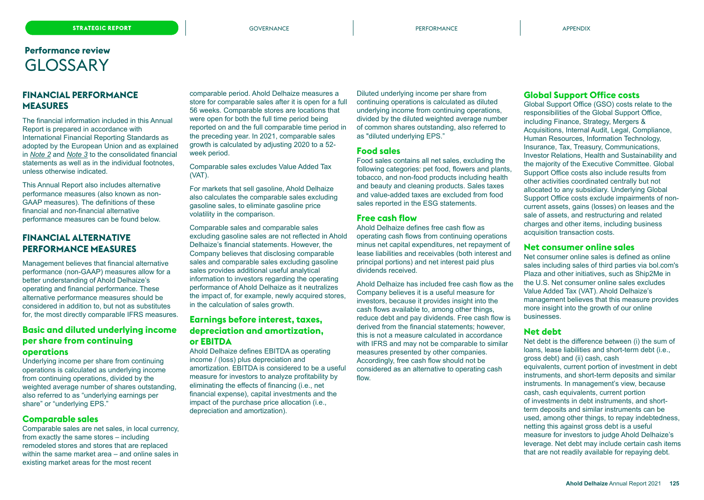### <span id="page-37-0"></span>**FINANCIAL PERFORMANCE MEASURES**

The financial information included in this Annual Report is prepared in accordance with International Financial Reporting Standards as adopted by the European Union and as explained in *Note 2* and *Note 3* to the consolidated financial statements as well as in the individual footnotes, unless otherwise indicated.

This Annual Report also includes alternative performance measures (also known as non-GAAP measures). The definitions of these financial and non-financial alternative performance measures can be found below.

### **FINANCIAL ALTERNATIVE PERFORMANCE MEASURES**

Management believes that financial alternative performance (non-GAAP) measures allow for a better understanding of Ahold Delhaize's operating and financial performance. These alternative performance measures should be considered in addition to, but not as substitutes for, the most directly comparable IFRS measures.

### **Basic and diluted underlying income per share from continuing operations**

Underlying income per share from continuing operations is calculated as underlying income from continuing operations, divided by the weighted average number of shares outstanding, also referred to as "underlying earnings per share" or "underlying EPS."

### **Comparable sales**

Comparable sales are net sales, in local currency, from exactly the same stores – including remodeled stores and stores that are replaced within the same market area – and online sales in existing market areas for the most recent

comparable period. Ahold Delhaize measures a store for comparable sales after it is open for a full 56 weeks. Comparable stores are locations that were open for both the full time period being reported on and the full comparable time period in the preceding year. In 2021, comparable sales growth is calculated by adjusting 2020 to a 52 week period.

#### Comparable sales excludes Value Added Tax (VAT).

For markets that sell gasoline, Ahold Delhaize also calculates the comparable sales excluding gasoline sales, to eliminate gasoline price volatility in the comparison.

Comparable sales and comparable sales excluding gasoline sales are not reflected in Ahold Delhaize's financial statements. However, the Company believes that disclosing comparable sales and comparable sales excluding gasoline sales provides additional useful analytical information to investors regarding the operating performance of Ahold Delhaize as it neutralizes the impact of, for example, newly acquired stores, in the calculation of sales growth.

### **Earnings before interest, taxes, depreciation and amortization, or EBITDA**

Ahold Delhaize defines EBITDA as operating income / (loss) plus depreciation and amortization. EBITDA is considered to be a useful measure for investors to analyze profitability by eliminating the effects of financing (i.e., net financial expense), capital investments and the impact of the purchase price allocation (i.e., depreciation and amortization).

Diluted underlying income per share from continuing operations is calculated as diluted underlying income from continuing operations, divided by the diluted weighted average number of common shares outstanding, also referred to as "diluted underlying EPS."

### **Food sales**

Food sales contains all net sales, excluding the following categories: pet food, flowers and plants, tobacco, and non-food products including health and beauty and cleaning products. Sales taxes and value-added taxes are excluded from food sales reported in the ESG statements.

### **Free cash flow**

Ahold Delhaize defines free cash flow as operating cash flows from continuing operations minus net capital expenditures, net repayment of lease liabilities and receivables (both interest and principal portions) and net interest paid plus dividends received.

Ahold Delhaize has included free cash flow as the Company believes it is a useful measure for investors, because it provides insight into the cash flows available to, among other things, reduce debt and pay dividends. Free cash flow is derived from the financial statements; however, this is not a measure calculated in accordance with IFRS and may not be comparable to similar measures presented by other companies. Accordingly, free cash flow should not be considered as an alternative to operating cash flow.

### **Global Support Office costs**

Global Support Office (GSO) costs relate to the responsibilities of the Global Support Office, including Finance, Strategy, Mergers & Acquisitions, Internal Audit, Legal, Compliance, Human Resources, Information Technology, Insurance, Tax, Treasury, Communications, Investor Relations, Health and Sustainability and the majority of the Executive Committee. Global Support Office costs also include results from other activities coordinated centrally but not allocated to any subsidiary. Underlying Global Support Office costs exclude impairments of noncurrent assets, gains (losses) on leases and the sale of assets, and restructuring and related charges and other items, including business acquisition transaction costs.

#### **Net consumer online sales**

Net consumer online sales is defined as online sales including sales of third parties via bol.com's Plaza and other initiatives, such as Ship2Me in the U.S. Net consumer online sales excludes Value Added Tax (VAT). Ahold Delhaize's management believes that this measure provides more insight into the growth of our online businesses.

#### **Net debt**

Net debt is the difference between (i) the sum of loans, lease liabilities and short-term debt (i.e., gross debt) and (ii) cash, cash equivalents, current portion of investment in debt instruments, and short-term deposits and similar instruments. In management's view, because cash, cash equivalents, current portion of investments in debt instruments, and shortterm deposits and similar instruments can be used, among other things, to repay indebtedness, netting this against gross debt is a useful measure for investors to judge Ahold Delhaize's leverage. Net debt may include certain cash items that are not readily available for repaying debt.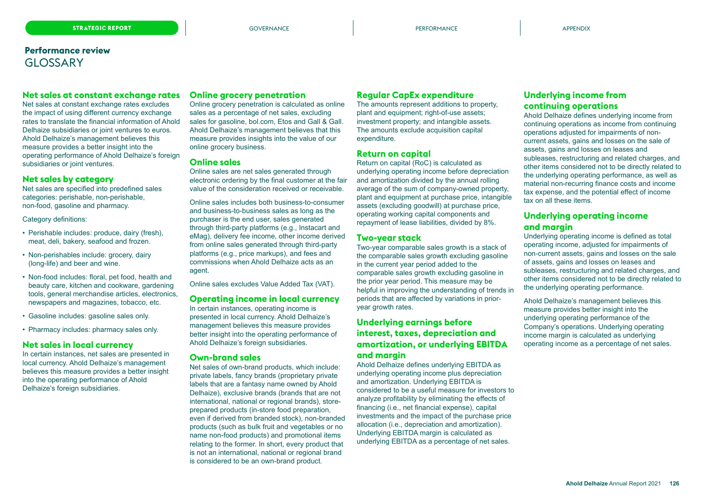#### **Net sales at constant exchange rates**

Net sales at constant exchange rates excludes the impact of using different currency exchange rates to translate the financial information of Ahold Delhaize subsidiaries or joint ventures to euros. Ahold Delhaize's management believes this measure provides a better insight into the operating performance of Ahold Delhaize's foreign subsidiaries or joint ventures.

### **Net sales by category**

Net sales are specified into predefined sales categories: perishable, non-perishable, non-food, gasoline and pharmacy.

Category definitions:

- Perishable includes: produce, dairy (fresh), meat, deli, bakery, seafood and frozen.
- Non-perishables include: grocery, dairy (long-life) and beer and wine.
- Non-food includes: floral, pet food, health and beauty care, kitchen and cookware, gardening tools, general merchandise articles, electronics, newspapers and magazines, tobacco, etc.
- Gasoline includes: gasoline sales only.
- Pharmacy includes: pharmacy sales only.

### **Net sales in local currency**

In certain instances, net sales are presented in local currency. Ahold Delhaize's management believes this measure provides a better insight into the operating performance of Ahold Delhaize's foreign subsidiaries.

#### **Online grocery penetration**

Online grocery penetration is calculated as online sales as a percentage of net sales, excluding sales for gasoline, bol.com, Etos and Gall & Gall. Ahold Delhaize's management believes that this measure provides insights into the value of our online grocery business.

#### **Online sales**

Online sales are net sales generated through electronic ordering by the final customer at the fair value of the consideration received or receivable.

Online sales includes both business-to-consumer and business-to-business sales as long as the purchaser is the end user, sales generated through third-party platforms (e.g., Instacart and eMag), delivery fee income, other income derived from online sales generated through third-party platforms (e.g., price markups), and fees and commissions when Ahold Delhaize acts as an agent.

Online sales excludes Value Added Tax (VAT).

#### **Operating income in local currency**

In certain instances, operating income is presented in local currency. Ahold Delhaize's management believes this measure provides better insight into the operating performance of Ahold Delhaize's foreign subsidiaries.

#### **Own-brand sales**

Net sales of own-brand products, which include: private labels, fancy brands (proprietary private labels that are a fantasy name owned by Ahold Delhaize), exclusive brands (brands that are not international, national or regional brands), storeprepared products (in-store food preparation, even if derived from branded stock), non-branded products (such as bulk fruit and vegetables or no name non-food products) and promotional items relating to the former. In short, every product that is not an international, national or regional brand is considered to be an own-brand product.

### **Regular CapEx expenditure**

The amounts represent additions to property, plant and equipment; right-of-use assets; investment property; and intangible assets. The amounts exclude acquisition capital expenditure.

#### **Return on capital**

Return on capital (RoC) is calculated as underlying operating income before depreciation and amortization divided by the annual rolling average of the sum of company-owned property, plant and equipment at purchase price, intangible assets (excluding goodwill) at purchase price, operating working capital components and repayment of lease liabilities, divided by 8%.

#### **Two-year stack**

Two-year comparable sales growth is a stack of the comparable sales growth excluding gasoline in the current year period added to the comparable sales growth excluding gasoline in the prior year period. This measure may be helpful in improving the understanding of trends in periods that are affected by variations in prioryear growth rates.

### **Underlying earnings before interest, taxes, depreciation and amortization, or underlying EBITDA and margin**

Ahold Delhaize defines underlying EBITDA as underlying operating income plus depreciation and amortization. Underlying EBITDA is considered to be a useful measure for investors to analyze profitability by eliminating the effects of financing (i.e., net financial expense), capital investments and the impact of the purchase price allocation (i.e., depreciation and amortization). Underlying EBITDA margin is calculated as underlying EBITDA as a percentage of net sales.

### **Underlying income from continuing operations**

Ahold Delhaize defines underlying income from continuing operations as income from continuing operations adjusted for impairments of noncurrent assets, gains and losses on the sale of assets, gains and losses on leases and subleases, restructuring and related charges, and other items considered not to be directly related to the underlying operating performance, as well as material non-recurring finance costs and income tax expense, and the potential effect of income tax on all these items.

### **Underlying operating income and margin**

Underlying operating income is defined as total operating income, adjusted for impairments of non-current assets, gains and losses on the sale of assets, gains and losses on leases and subleases, restructuring and related charges, and other items considered not to be directly related to the underlying operating performance.

Ahold Delhaize's management believes this measure provides better insight into the underlying operating performance of the Company's operations. Underlying operating income margin is calculated as underlying operating income as a percentage of net sales.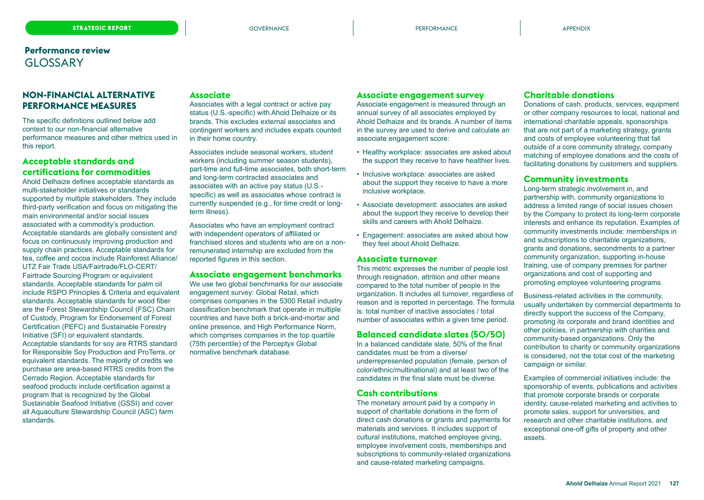### **NON-FINANCIAL ALTERNATIVE PERFORMANCE MEASURES**

The specific definitions outlined below add context to our non-financial alternative performance measures and other metrics used in this report.

### **Acceptable standards and certifications for commodities**

Ahold Delhaize defines acceptable standards as multi-stakeholder initiatives or standards supported by multiple stakeholders. They include third-party verification and focus on mitigating the main environmental and/or social issues associated with a commodity's production. Acceptable standards are globally consistent and focus on continuously improving production and supply chain practices. Acceptable standards for tea, coffee and cocoa include Rainforest Alliance/ UTZ Fair Trade USA/Fairtrade/FLO-CERT/ Fairtrade Sourcing Program or equivalent standards. Acceptable standards for palm oil include RSPO Principles & Criteria and equivalent standards. Acceptable standards for wood fiber are the Forest Stewardship Council (FSC) Chain of Custody, Program for Endorsement of Forest Certification (PEFC) and Sustainable Forestry Initiative (SFI) or equivalent standards. Acceptable standards for soy are RTRS standard for Responsible Soy Production and ProTerra, or equivalent standards. The majority of credits we purchase are area-based RTRS credits from the Cerrado Region. Acceptable standards for seafood products include certification against a program that is recognized by the Global Sustainable Seafood Initiative (GSSI) and cover all Aquaculture Stewardship Council (ASC) farm

standards.

### **Associate**

Associates with a legal contract or active pay status (U.S.-specific) with Ahold Delhaize or its brands. This excludes external associates and contingent workers and includes expats counted in their home country.

Associates include seasonal workers, student workers (including summer season students), part-time and full-time associates, both short-term and long-term contracted associates and associates with an active pay status (U.S. specific) as well as associates whose contract is currently suspended (e.g., for time credit or longterm illness).

Associates who have an employment contract with independent operators of affiliated or franchised stores and students who are on a nonremunerated internship are excluded from the reported figures in this section.

#### **Associate engagement benchmarks**

We use two global benchmarks for our associate engagement survey: Global Retail, which comprises companies in the 5300 Retail industry classification benchmark that operate in multiple countries and have both a brick-and-mortar and online presence, and High Performance Norm, which comprises companies in the top quartile (75th percentile) of the Perceptyx Global normative benchmark database.

#### **Associate engagement survey**

Associate engagement is measured through an annual survey of all associates employed by Ahold Delhaize and its brands. A number of items in the survey are used to derive and calculate an associate engagement score:

- Healthy workplace: associates are asked about the support they receive to have healthier lives.
- Inclusive workplace: associates are asked about the support they receive to have a more inclusive workplace.
- Associate development: associates are asked about the support they receive to develop their skills and careers with Ahold Delhaize.
- Engagement: associates are asked about how they feel about Ahold Delhaize.

### **Associate turnover**

This metric expresses the number of people lost through resignation, attrition and other means compared to the total number of people in the organization. It includes all turnover, regardless of reason and is reported in percentage. The formula is: total number of inactive associates / total number of associates within a given time period.

### **Balanced candidate slates (50/50)**

In a balanced candidate slate, 50% of the final candidates must be from a diverse/ underrepresented population (female, person of color/ethnic/multinational) and at least two of the candidates in the final slate must be diverse.

### **Cash contributions**

The monetary amount paid by a company in support of charitable donations in the form of direct cash donations or grants and payments for materials and services. It includes support of cultural institutions, matched employee giving, employee involvement costs, memberships and subscriptions to community-related organizations and cause-related marketing campaigns.

### **Charitable donations**

Donations of cash, products, services, equipment or other company resources to local, national and international charitable appeals, sponsorships that are not part of a marketing strategy, grants and costs of employee volunteering that fall outside of a core community strategy, company matching of employee donations and the costs of facilitating donations by customers and suppliers.

### **Community investments**

Long-term strategic involvement in, and partnership with, community organizations to address a limited range of social issues chosen by the Company to protect its long-term corporate interests and enhance its reputation. Examples of community investments include: memberships in and subscriptions to charitable organizations, grants and donations, secondments to a partner community organization, supporting in-house training, use of company premises for partner organizations and cost of supporting and promoting employee volunteering programs.

Business-related activities in the community, usually undertaken by commercial departments to directly support the success of the Company, promoting its corporate and brand identities and other policies, in partnership with charities and community-based organizations. Only the contribution to charity or community organizations is considered, not the total cost of the marketing campaign or similar.

Examples of commercial initiatives include: the sponsorship of events, publications and activities that promote corporate brands or corporate identity, cause-related marketing and activities to promote sales, support for universities, and research and other charitable institutions, and exceptional one-off gifts of property and other assets.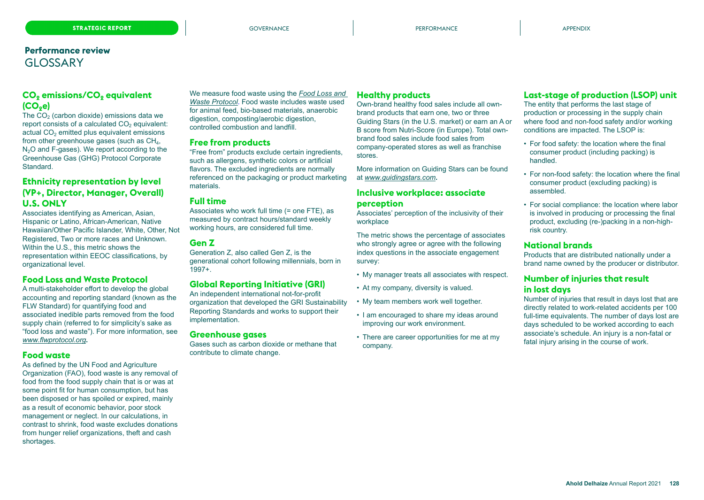### **CO<sup>2</sup> emissions/CO<sup>2</sup> equivalent (CO2e)**

The  $CO<sub>2</sub>$  (carbon dioxide) emissions data we report consists of a calculated  $CO<sub>2</sub>$  equivalent: actual  $CO<sub>2</sub>$  emitted plus equivalent emissions from other greenhouse gases (such as  $CH<sub>4</sub>$ ,  $N<sub>2</sub>O$  and F-gases). We report according to the Greenhouse Gas (GHG) Protocol Corporate Standard.

### **Ethnicity representation by level (VP+, Director, Manager, Overall) U.S. ONLY**

Associates identifying as American, Asian, Hispanic or Latino, African-American, Native Hawaiian/Other Pacific Islander, White, Other, Not Registered, Two or more races and Unknown. Within the U.S., this metric shows the representation within EEOC classifications, by organizational level.

### **Food Loss and Waste Protocol**

A multi-stakeholder effort to develop the global accounting and reporting standard (known as the FLW Standard) for quantifying food and associated inedible parts removed from the food supply chain (referred to for simplicity's sake as "food loss and waste"). For more information, see *[www.flwprotocol.org](https://www.flwprotocol.org/)***.** 

### **Food waste**

As defined by the UN Food and Agriculture Organization (FAO), food waste is any removal of food from the food supply chain that is or was at some point fit for human consumption, but has been disposed or has spoiled or expired, mainly as a result of economic behavior, poor stock management or neglect. In our calculations, in contrast to shrink, food waste excludes donations from hunger relief organizations, theft and cash shortages.

We measure food waste using the *[Food Loss and](https://flwprotocol.org/flw-standard/tools-resources/terms-definitions/)  [Waste Protocol](https://flwprotocol.org/flw-standard/tools-resources/terms-definitions/)*[.](https://flwprotocol.org/flw-standard/tools-resources/terms-definitions/) Food waste includes waste used for animal feed, bio-based materials, anaerobic digestion, composting/aerobic digestion, controlled combustion and landfill.

#### **Free from products**

"Free from" products exclude certain ingredients, such as allergens, synthetic colors or artificial flavors. The excluded ingredients are normally referenced on the packaging or product marketing materials.

#### **Full time**

Associates who work full time (= one FTE), as measured by contract hours/standard weekly working hours, are considered full time.

### **Gen Z**

Generation Z, also called Gen Z, is the generational cohort following millennials, born in 1997+.

### **Global Reporting Initiative (GRI)**

An independent international not-for-profit organization that developed the GRI Sustainability Reporting Standards and works to support their implementation.

#### **Greenhouse gases**

Gases such as carbon dioxide or methane that contribute to climate change.

### **Healthy products**

Own-brand healthy food sales include all ownbrand products that earn one, two or three Guiding Stars (in the U.S. market) or earn an A or B score from Nutri-Score (in Europe). Total ownbrand food sales include food sales from company-operated stores as well as franchise stores.

More information on Guiding Stars can be found at *[www.guidingstars.com](https://guidingstars.com/)***.**

### **Inclusive workplace: associate perception**

Associates' perception of the inclusivity of their workplace

The metric shows the percentage of associates who strongly agree or agree with the following index questions in the associate engagement survey:

- My manager treats all associates with respect.
- At my company, diversity is valued.
- My team members work well together.
- I am encouraged to share my ideas around improving our work environment.
- There are career opportunities for me at my company.

### **Last-stage of production (LSOP) unit**

The entity that performs the last stage of production or processing in the supply chain where food and non-food safety and/or working conditions are impacted. The LSOP is:

- For food safety: the location where the final consumer product (including packing) is handled.
- For non-food safety: the location where the final consumer product (excluding packing) is assembled.
- For social compliance: the location where labor is involved in producing or processing the final product, excluding (re-)packing in a non-highrisk country.

### **National brands**

Products that are distributed nationally under a brand name owned by the producer or distributor.

### **Number of injuries that result in lost days**

Number of injuries that result in days lost that are directly related to work-related accidents per 100 full-time equivalents. The number of days lost are days scheduled to be worked according to each associate's schedule. An injury is a non-fatal or fatal injury arising in the course of work.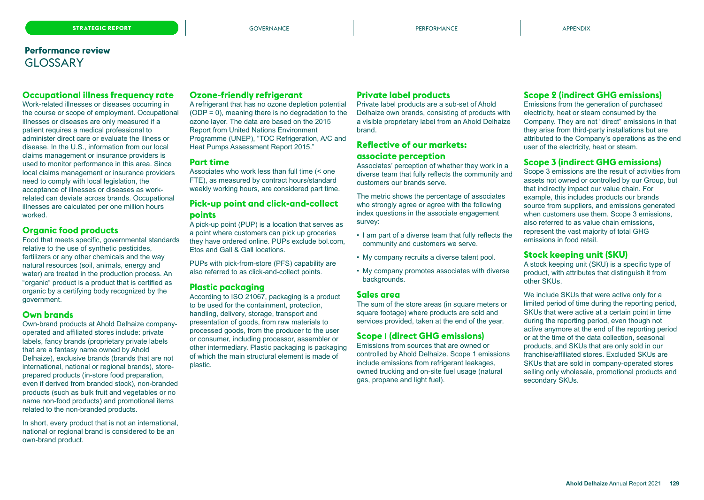### **Occupational illness frequency rate**

Work-related illnesses or diseases occurring in the course or scope of employment. Occupational illnesses or diseases are only measured if a patient requires a medical professional to administer direct care or evaluate the illness or disease. In the U.S., information from our local claims management or insurance providers is used to monitor performance in this area. Since local claims management or insurance providers need to comply with local legislation, the acceptance of illnesses or diseases as workrelated can deviate across brands. Occupational illnesses are calculated per one million hours worked.

### **Organic food products**

Food that meets specific, governmental standards relative to the use of synthetic pesticides, fertilizers or any other chemicals and the way natural resources (soil, animals, energy and water) are treated in the production process. An "organic" product is a product that is certified as organic by a certifying body recognized by the government.

### **Own brands**

Own-brand products at Ahold Delhaize companyoperated and affiliated stores include: private labels, fancy brands (proprietary private labels that are a fantasy name owned by Ahold Delhaize), exclusive brands (brands that are not international, national or regional brands), storeprepared products (in-store food preparation, even if derived from branded stock), non-branded products (such as bulk fruit and vegetables or no name non-food products) and promotional items related to the non-branded products.

In short, every product that is not an international, national or regional brand is considered to be an own-brand product.

#### **Ozone-friendly refrigerant**

A refrigerant that has no ozone depletion potential (ODP = 0), meaning there is no degradation to the ozone layer. The data are based on the 2015 Report from United Nations Environment Programme (UNEP), "TOC Refrigeration, A/C and Heat Pumps Assessment Report 2015."

#### **Part time**

Associates who work less than full time (< one FTE), as measured by contract hours/standard weekly working hours, are considered part time.

### **Pick-up point and click-and-collect points**

A pick-up point (PUP) is a location that serves as a point where customers can pick up groceries they have ordered online. PUPs exclude bol.com, Etos and Gall & Gall locations.

PUPs with pick-from-store (PFS) capability are also referred to as click-and-collect points.

#### **Plastic packaging**

According to ISO 21067, packaging is a product to be used for the containment, protection, handling, delivery, storage, transport and presentation of goods, from raw materials to processed goods, from the producer to the user or consumer, including processor, assembler or other intermediary. Plastic packaging is packaging of which the main structural element is made of plastic.

### **Private label products**

Private label products are a sub-set of Ahold Delhaize own brands, consisting of products with a visible proprietary label from an Ahold Delhaize brand.

### **Reflective of our markets: associate perception**

Associates' perception of whether they work in a diverse team that fully reflects the community and customers our brands serve.

The metric shows the percentage of associates who strongly agree or agree with the following index questions in the associate engagement survey:

- I am part of a diverse team that fully reflects the community and customers we serve.
- My company recruits a diverse talent pool.
- My company promotes associates with diverse backgrounds.

#### **Sales area**

The sum of the store areas (in square meters or square footage) where products are sold and services provided, taken at the end of the year.

### **Scope 1 (direct GHG emissions)**

Emissions from sources that are owned or controlled by Ahold Delhaize. Scope 1 emissions include emissions from refrigerant leakages, owned trucking and on-site fuel usage (natural gas, propane and light fuel).

### **Scope 2 (indirect GHG emissions)**

Emissions from the generation of purchased electricity, heat or steam consumed by the Company. They are not "direct" emissions in that they arise from third-party installations but are attributed to the Company's operations as the end user of the electricity, heat or steam.

### **Scope 3 (indirect GHG emissions)**

Scope 3 emissions are the result of activities from assets not owned or controlled by our Group, but that indirectly impact our value chain. For example, this includes products our brands source from suppliers, and emissions generated when customers use them. Scope 3 emissions, also referred to as value chain emissions, represent the vast majority of total GHG emissions in food retail.

#### **Stock keeping unit (SKU)**

A stock keeping unit (SKU) is a specific type of product, with attributes that distinguish it from other SKUs.

We include SKUs that were active only for a limited period of time during the reporting period, SKUs that were active at a certain point in time during the reporting period, even though not active anymore at the end of the reporting period or at the time of the data collection, seasonal products, and SKUs that are only sold in our franchise/affiliated stores. Excluded SKUs are SKUs that are sold in company-operated stores selling only wholesale, promotional products and secondary SKUs.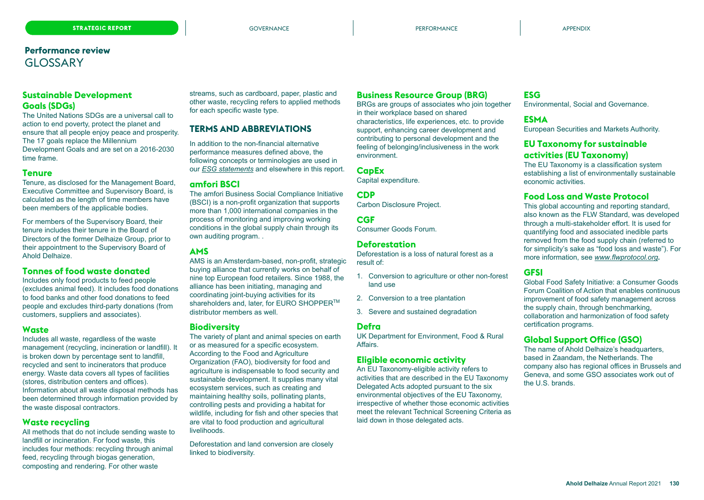### **Sustainable Development Goals (SDGs)**

The United Nations SDGs are a universal call to action to end poverty, protect the planet and ensure that all people enjoy peace and prosperity. The 17 goals replace the Millennium Development Goals and are set on a 2016-2030 time frame.

#### **Tenure**

Tenure, as disclosed for the Management Board, Executive Committee and Supervisory Board, is calculated as the length of time members have been members of the applicable bodies.

For members of the Supervisory Board, their tenure includes their tenure in the Board of Directors of the former Delhaize Group, prior to their appointment to the Supervisory Board of Ahold Delhaize.

### **Tonnes of food waste donated**

Includes only food products to feed people (excludes animal feed). It includes food donations to food banks and other food donations to feed people and excludes third-party donations (from customers, suppliers and associates).

### **Waste**

Includes all waste, regardless of the waste management (recycling, incineration or landfill). It is broken down by percentage sent to landfill, recycled and sent to incinerators that produce energy. Waste data covers all types of facilities (stores, distribution centers and offices). Information about all waste disposal methods has been determined through information provided by the waste disposal contractors.

### **Waste recycling**

All methods that do not include sending waste to landfill or incineration. For food waste, this includes four methods: recycling through animal feed, recycling through biogas generation, composting and rendering. For other waste

streams, such as cardboard, paper, plastic and other waste, recycling refers to applied methods for each specific waste type.

### **TERMS AND ABBREVIATIONS**

In addition to the non-financial alternative performance measures defined above, the following concepts or terminologies are used in our *ESG statements* and elsewhere in this report.

### **amfori BSCI**

The amfori Business Social Compliance Initiative (BSCI) is a non-profit organization that supports more than 1,000 international companies in the process of monitoring and improving working conditions in the global supply chain through its own auditing program. .

### **AMS**

AMS is an Amsterdam-based, non-profit, strategic buying alliance that currently works on behalf of nine top European food retailers. Since 1988, the alliance has been initiating, managing and coordinating joint-buying activities for its shareholders and, later, for EURO SHOPPER<sup>™</sup> distributor members as well.

### **Biodiversity**

The variety of plant and animal species on earth or as measured for a specific ecosystem. According to the Food and Agriculture Organization (FAO), biodiversity for food and agriculture is indispensable to food security and sustainable development. It supplies many vital ecosystem services, such as creating and maintaining healthy soils, pollinating plants, controlling pests and providing a habitat for wildlife, including for fish and other species that are vital to food production and agricultural livelihoods.

Deforestation and land conversion are closely linked to biodiversity.

### **Business Resource Group (BRG)**

BRGs are groups of associates who join together in their workplace based on shared characteristics, life experiences, etc. to provide support, enhancing career development and contributing to personal development and the feeling of belonging/inclusiveness in the work environment.

### **CapEx**

Capital expenditure.

**CDP** Carbon Disclosure Project.

**CGF**

Consumer Goods Forum.

### **Deforestation**

Deforestation is a loss of natural forest as a result of:

- 1. Conversion to agriculture or other non-forest land use
- 2. Conversion to a tree plantation
- 3. Severe and sustained degradation

### **Defra**

UK Department for Environment, Food & Rural Affairs.

### **Eligible economic activity**

An EU Taxonomy-eligible activity refers to activities that are described in the EU Taxonomy Delegated Acts adopted pursuant to the six environmental objectives of the EU Taxonomy, irrespective of whether those economic activities meet the relevant Technical Screening Criteria as laid down in those delegated acts.

### **ESG**

Environmental, Social and Governance.

### **ESMA**

European Securities and Markets Authority.

### **EU Taxonomy for sustainable activities (EU Taxonomy)**

The EU Taxonomy is a classification system establishing a list of environmentally sustainable economic activities.

### **Food Loss and Waste Protocol**

This global accounting and reporting standard, also known as the FLW Standard, was developed through a multi-stakeholder effort. It is used for quantifying food and associated inedible parts removed from the food supply chain (referred to for simplicity's sake as "food loss and waste"). For more information, see *[www.flwprotocol.org](https://www.flwprotocol.org/)***.**

### **GFSI**

Global Food Safety Initiative: a Consumer Goods Forum Coalition of Action that enables continuous improvement of food safety management across the supply chain, through benchmarking, collaboration and harmonization of food safety certification programs.

### **Global Support Office (GSO)**

The name of Ahold Delhaize's headquarters, based in Zaandam, the Netherlands. The company also has regional offices in Brussels and Geneva, and some GSO associates work out of the U.S. brands.